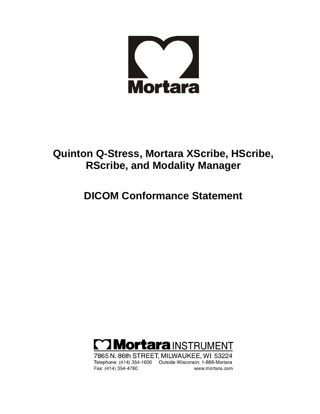

### **Quinton Q-Stress, Mortara XScribe, HScribe, RScribe, and Modality Manager**

### **DICOM Conformance Statement**



7865 N. 86th STREET, MILWAUKEE, WI 53224 Telephone: (414) 354-1600 Outside Wisconsin: 1-888-Mortara Fax: (414) 354-4760 www.mortara.com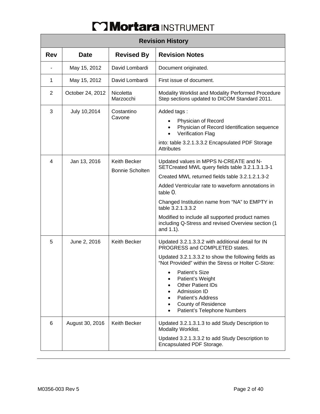| <b>Revision History</b> |                  |                                        |                                                                                                                                                                                                                                                                                                                                                                                                            |  |
|-------------------------|------------------|----------------------------------------|------------------------------------------------------------------------------------------------------------------------------------------------------------------------------------------------------------------------------------------------------------------------------------------------------------------------------------------------------------------------------------------------------------|--|
| <b>Rev</b>              | <b>Date</b>      | <b>Revised By</b>                      | <b>Revision Notes</b>                                                                                                                                                                                                                                                                                                                                                                                      |  |
|                         | May 15, 2012     | David Lombardi                         | Document originated.                                                                                                                                                                                                                                                                                                                                                                                       |  |
| $\mathbf{1}$            | May 15, 2012     | David Lombardi                         | First issue of document.                                                                                                                                                                                                                                                                                                                                                                                   |  |
| $\overline{2}$          | October 24, 2012 | <b>Nicoletta</b><br>Marzocchi          | Modality Worklist and Modality Performed Procedure<br>Step sections updated to DICOM Standard 2011.                                                                                                                                                                                                                                                                                                        |  |
| 3                       | July 10,2014     | Costantino<br>Cavone                   | Added tags:<br>Physician of Record<br>Physician of Record Identification sequence<br><b>Verification Flag</b><br>into: table 3.2.1.3.3.2 Encapsulated PDF Storage<br><b>Attributes</b>                                                                                                                                                                                                                     |  |
| $\overline{4}$          | Jan 13, 2016     | Keith Becker<br><b>Bonnie Scholten</b> | Updated values in MPPS N-CREATE and N-<br>SETCreated MWL query fields table 3.2.1.3.1.3-1<br>Created MWL returned fields table 3.2.1.2.1.3-2<br>Added Ventricular rate to waveform annotations in<br>table 0.<br>Changed Institution name from "NA" to EMPTY in<br>table 3.2.1.3.3.2<br>Modified to include all supported product names<br>including Q-Stress and revised Overview section (1<br>and 1.1). |  |
| 5                       | June 2, 2016     | Keith Becker                           | Updated 3.2.1.3.3.2 with additional detail for IN<br>PROGRESS and COMPLETED states.<br>Updated 3.2.1.3.3.2 to show the following fields as<br>"Not Provided" within the Stress or Holter C-Store:<br>Patient's Size<br>Patient's Weight<br><b>Other Patient IDs</b><br>Admission ID<br>Patient's Address<br><b>County of Residence</b><br>Patient's Telephone Numbers                                      |  |
| 6                       | August 30, 2016  | Keith Becker                           | Updated 3.2.1.3.1.3 to add Study Description to<br>Modality Worklist.<br>Updated 3.2.1.3.3.2 to add Study Description to<br>Encapsulated PDF Storage.                                                                                                                                                                                                                                                      |  |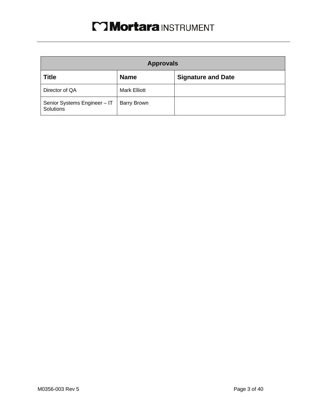| <b>Approvals</b>                          |                     |                           |  |  |
|-------------------------------------------|---------------------|---------------------------|--|--|
| <b>Title</b>                              | <b>Name</b>         | <b>Signature and Date</b> |  |  |
| Director of QA                            | <b>Mark Elliott</b> |                           |  |  |
| Senior Systems Engineer - IT<br>Solutions | <b>Barry Brown</b>  |                           |  |  |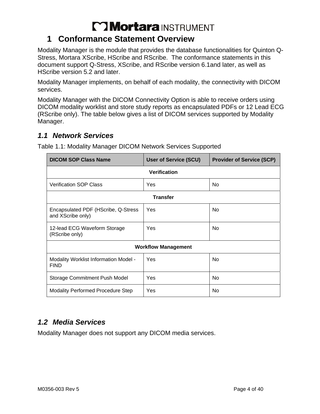### **1 Conformance Statement Overview**

Modality Manager is the module that provides the database functionalities for Quinton Q-Stress, Mortara XScribe, HScribe and RScribe. The conformance statements in this document support Q-Stress, XScribe, and RScribe version 6.1and later, as well as HScribe version 5.2 and later.

Modality Manager implements, on behalf of each modality, the connectivity with DICOM services.

Modality Manager with the DICOM Connectivity Option is able to receive orders using DICOM modality worklist and store study reports as encapsulated PDFs or 12 Lead ECG (RScribe only). The table below gives a list of DICOM services supported by Modality Manager.

### *1.1 Network Services*

| <b>DICOM SOP Class Name</b>                              | <b>User of Service (SCU)</b> | <b>Provider of Service (SCP)</b> |  |  |  |
|----------------------------------------------------------|------------------------------|----------------------------------|--|--|--|
| Verification                                             |                              |                                  |  |  |  |
| <b>Verification SOP Class</b>                            | Yes                          | No                               |  |  |  |
| <b>Transfer</b>                                          |                              |                                  |  |  |  |
| Encapsulated PDF (HScribe, Q-Stress<br>and XScribe only) | Yes                          | <b>No</b>                        |  |  |  |
| 12-lead ECG Waveform Storage<br>(RScribe only)           | Yes                          | <b>No</b>                        |  |  |  |
| <b>Workflow Management</b>                               |                              |                                  |  |  |  |
| Modality Worklist Information Model -<br><b>FIND</b>     | Yes                          | <b>No</b>                        |  |  |  |
| Storage Commitment Push Model                            | Yes                          | <b>No</b>                        |  |  |  |
| <b>Modality Performed Procedure Step</b>                 | Yes                          | No                               |  |  |  |

Table 1.1: Modality Manager DICOM Network Services Supported

### *1.2 Media Services*

Modality Manager does not support any DICOM media services.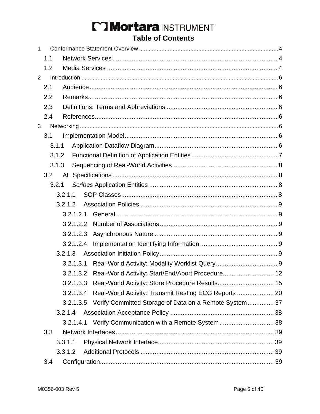### Mortara INSTRUMENT **Table of Contents**

| $\mathbf{1}$   |       |         |           |                                                                  |  |
|----------------|-------|---------|-----------|------------------------------------------------------------------|--|
|                | 1.1   |         |           |                                                                  |  |
|                | 1.2   |         |           |                                                                  |  |
| $\overline{2}$ |       |         |           |                                                                  |  |
|                | 2.1   |         |           |                                                                  |  |
|                | 2.2   |         |           |                                                                  |  |
|                | 2.3   |         |           |                                                                  |  |
|                | 2.4   |         |           |                                                                  |  |
| 3              |       |         |           |                                                                  |  |
|                | 3.1   |         |           |                                                                  |  |
|                | 3.1.1 |         |           |                                                                  |  |
|                | 3.1.2 |         |           |                                                                  |  |
|                | 3.1.3 |         |           |                                                                  |  |
|                | 3.2   |         |           |                                                                  |  |
|                | 3.2.1 |         |           |                                                                  |  |
|                |       | 3.2.1.1 |           |                                                                  |  |
|                |       | 3.2.1.2 |           |                                                                  |  |
|                |       |         |           |                                                                  |  |
|                |       |         | 3.2.1.2.2 |                                                                  |  |
|                |       |         | 3.2.1.2.3 |                                                                  |  |
|                |       |         | 3.2.1.2.4 |                                                                  |  |
|                |       | 3.2.1.3 |           |                                                                  |  |
|                |       |         | 3.2.1.3.1 |                                                                  |  |
|                |       |         |           | 3.2.1.3.2 Real-World Activity: Start/End/Abort Procedure 12      |  |
|                |       |         |           |                                                                  |  |
|                |       |         |           | 3.2.1.3.4 Real-World Activity: Transmit Resting ECG Reports  20  |  |
|                |       |         |           | 3.2.1.3.5 Verify Committed Storage of Data on a Remote System 37 |  |
|                |       | 3.2.1.4 |           |                                                                  |  |
|                |       |         |           | 3.2.1.4.1 Verify Communication with a Remote System  38          |  |
|                | 3.3   |         |           |                                                                  |  |
|                |       | 3.3.1.1 |           |                                                                  |  |
|                |       | 3.3.1.2 |           |                                                                  |  |
|                | 3.4   |         |           |                                                                  |  |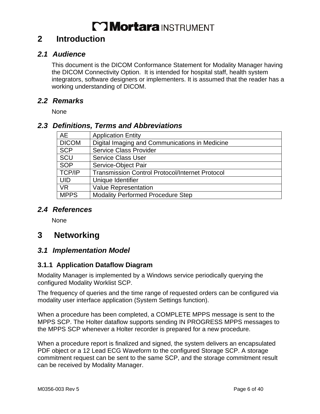### **2 Introduction**

#### *2.1 Audience*

This document is the DICOM Conformance Statement for Modality Manager having the DICOM Connectivity Option. It is intended for hospital staff, health system integrators, software designers or implementers. It is assumed that the reader has a working understanding of DICOM.

#### *2.2 Remarks*

None

#### *2.3 Definitions, Terms and Abbreviations*

| AE            | <b>Application Entity</b>                              |
|---------------|--------------------------------------------------------|
| <b>DICOM</b>  | Digital Imaging and Communications in Medicine         |
| <b>SCP</b>    | <b>Service Class Provider</b>                          |
| SCU           | <b>Service Class User</b>                              |
| <b>SOP</b>    | Service-Object Pair                                    |
| <b>TCP/IP</b> | <b>Transmission Control Protocol/Internet Protocol</b> |
| <b>UID</b>    | Unique Identifier                                      |
| <b>VR</b>     | <b>Value Representation</b>                            |
| <b>MPPS</b>   | <b>Modality Performed Procedure Step</b>               |

#### *2.4 References*

None

### **3 Networking**

#### *3.1 Implementation Model*

#### **3.1.1 Application Dataflow Diagram**

Modality Manager is implemented by a Windows service periodically querying the configured Modality Worklist SCP.

The frequency of queries and the time range of requested orders can be configured via modality user interface application (System Settings function).

When a procedure has been completed, a COMPLETE MPPS message is sent to the MPPS SCP. The Holter dataflow supports sending IN PROGRESS MPPS messages to the MPPS SCP whenever a Holter recorder is prepared for a new procedure.

When a procedure report is finalized and signed, the system delivers an encapsulated PDF object or a 12 Lead ECG Waveform to the configured Storage SCP. A storage commitment request can be sent to the same SCP, and the storage commitment result can be received by Modality Manager.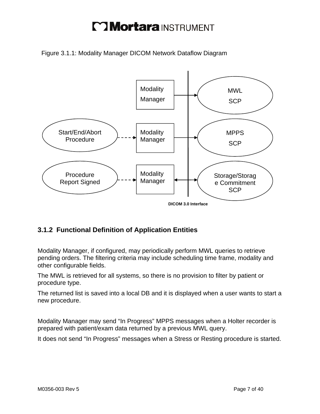Figure 3.1.1: Modality Manager DICOM Network Dataflow Diagram



### **3.1.2 Functional Definition of Application Entities**

Modality Manager, if configured, may periodically perform MWL queries to retrieve pending orders. The filtering criteria may include scheduling time frame, modality and other configurable fields.

The MWL is retrieved for all systems, so there is no provision to filter by patient or procedure type.

The returned list is saved into a local DB and it is displayed when a user wants to start a new procedure.

Modality Manager may send "In Progress" MPPS messages when a Holter recorder is prepared with patient/exam data returned by a previous MWL query.

It does not send "In Progress" messages when a Stress or Resting procedure is started.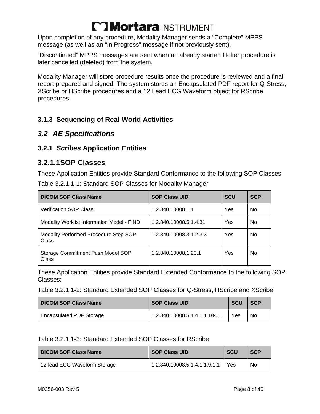Upon completion of any procedure, Modality Manager sends a "Complete" MPPS message (as well as an "In Progress" message if not previously sent).

"Discontinued" MPPS messages are sent when an already started Holter procedure is later cancelled (deleted) from the system.

Modality Manager will store procedure results once the procedure is reviewed and a final report prepared and signed. The system stores an Encapsulated PDF report for Q-Stress, XScribe or HScribe procedures and a 12 Lead ECG Waveform object for RScribe procedures.

#### **3.1.3 Sequencing of Real-World Activities**

#### *3.2 AE Specifications*

#### **3.2.1** *Scribes* **Application Entities**

#### **3.2.1.1 SOP Classes**

These Application Entities provide Standard Conformance to the following SOP Classes: Table 3.2.1.1-1: Standard SOP Classes for Modality Manager

| <b>DICOM SOP Class Name</b>                           | <b>SOP Class UID</b>    | <b>SCU</b> | <b>SCP</b>     |
|-------------------------------------------------------|-------------------------|------------|----------------|
| <b>Verification SOP Class</b>                         | 1.2.840.10008.1.1       | Yes        | N <sub>o</sub> |
| Modality Worklist Information Model - FIND            | 1.2.840.10008.5.1.4.31  | Yes        | No.            |
| Modality Performed Procedure Step SOP<br><b>Class</b> | 1.2.840.10008.3.1.2.3.3 | Yes        | No.            |
| Storage Commitment Push Model SOP<br><b>Class</b>     | 1.2.840.10008.1.20.1    | Yes        | No             |

These Application Entities provide Standard Extended Conformance to the following SOP Classes:

Table 3.2.1.1-2: Standard Extended SOP Classes for Q-Stress, HScribe and XScribe

| <b>DICOM SOP Class Name</b> | <b>SOP Class UID</b>          | <b>SCU</b> | <b>SCP</b> |
|-----------------------------|-------------------------------|------------|------------|
| Encapsulated PDF Storage    | 1.2.840.10008.5.1.4.1.1.104.1 | Yes        | No         |

#### Table 3.2.1.1-3: Standard Extended SOP Classes for RScribe

| <b>DICOM SOP Class Name</b>  | <b>SOP Class UID</b>          | <b>SCU</b> | <b>SCP</b> |
|------------------------------|-------------------------------|------------|------------|
| 12-lead ECG Waveform Storage | 1.2.840.10008.5.1.4.1.1.9.1.1 | Yes        | No         |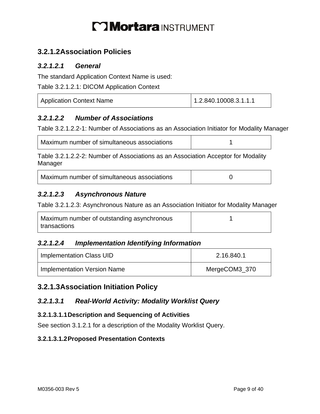### **3.2.1.2 Association Policies**

#### *3.2.1.2.1 General*

The standard Application Context Name is used:

Table 3.2.1.2.1: DICOM Application Context

| Application Context Name | 1.2.840.10008.3.1.1.1 |
|--------------------------|-----------------------|
|                          |                       |

#### *3.2.1.2.2 Number of Associations*

Table 3.2.1.2.2-1: Number of Associations as an Association Initiator for Modality Manager

| Maximum number of simultaneous associations |  |
|---------------------------------------------|--|
|---------------------------------------------|--|

Table 3.2.1.2.2-2: Number of Associations as an Association Acceptor for Modality Manager

| Maximum number of simultaneous associations |
|---------------------------------------------|
|                                             |

#### *3.2.1.2.3 Asynchronous Nature*

Table 3.2.1.2.3: Asynchronous Nature as an Association Initiator for Modality Manager

| Maximum number of outstanding asynchronous |  |
|--------------------------------------------|--|
| transactions                               |  |

#### *3.2.1.2.4 Implementation Identifying Information*

| Implementation Class UID    | 2.16.840.1    |
|-----------------------------|---------------|
| Implementation Version Name | MergeCOM3_370 |

### **3.2.1.3 Association Initiation Policy**

#### *3.2.1.3.1 Real-World Activity: Modality Worklist Query*

#### **3.2.1.3.1.1 Description and Sequencing of Activities**

See section 3.1.2.1 for a description of the Modality Worklist Query.

#### **3.2.1.3.1.2 Proposed Presentation Contexts**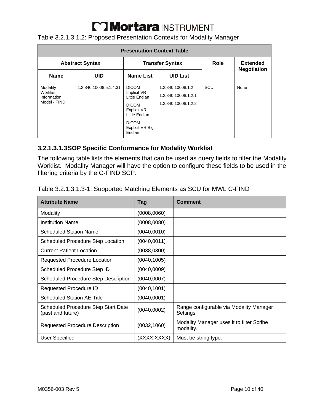Table 3.2.1.3.1.2: Proposed Presentation Contexts for Modality Manager

| <b>Presentation Context Table</b>                   |                        |                                                                                                                                           |                                                                 |      |                                       |
|-----------------------------------------------------|------------------------|-------------------------------------------------------------------------------------------------------------------------------------------|-----------------------------------------------------------------|------|---------------------------------------|
| <b>Abstract Syntax</b>                              |                        |                                                                                                                                           | <b>Transfer Syntax</b>                                          | Role | <b>Extended</b><br><b>Negotiation</b> |
| <b>Name</b>                                         | <b>UID</b>             | <b>Name List</b>                                                                                                                          | <b>UID List</b>                                                 |      |                                       |
| Modality<br>Worklist<br>Information<br>Model - FIND | 1.2.840.10008.5.1.4.31 | <b>DICOM</b><br>Implicit VR<br>Little Endian<br><b>DICOM</b><br>Explicit VR<br>Little Endian<br><b>DICOM</b><br>Explicit VR Big<br>Endian | 1.2.840.10008.1.2<br>1.2.840.10008.1.2.1<br>1.2.840.10008.1.2.2 | SCU  | None                                  |

#### **3.2.1.3.1.3 SOP Specific Conformance for Modality Worklist**

The following table lists the elements that can be used as query fields to filter the Modality Worklist. Modality Manager will have the option to configure these fields to be used in the filtering criteria by the C-FIND SCP.

| Table 3.2.1.3.1.3-1: Supported Matching Elements as SCU for MWL C-FIND |  |
|------------------------------------------------------------------------|--|
|                                                                        |  |

| <b>Attribute Name</b>                                           | Tag          | Comment                                                |
|-----------------------------------------------------------------|--------------|--------------------------------------------------------|
| Modality                                                        | (0008,0060)  |                                                        |
| <b>Institution Name</b>                                         | (0008,0080)  |                                                        |
| <b>Scheduled Station Name</b>                                   | (0040, 0010) |                                                        |
| <b>Scheduled Procedure Step Location</b>                        | (0040,0011)  |                                                        |
| <b>Current Patient Location</b>                                 | (0038,0300)  |                                                        |
| Requested Procedure Location                                    | (0040,1005)  |                                                        |
| Scheduled Procedure Step ID                                     | (0040,0009)  |                                                        |
| <b>Scheduled Procedure Step Description</b>                     | (0040,0007)  |                                                        |
| Requested Procedure ID                                          | (0040,1001)  |                                                        |
| <b>Scheduled Station AE Title</b>                               | (0040,0001)  |                                                        |
| <b>Scheduled Procedure Step Start Date</b><br>(past and future) | (0040,0002)  | Range configurable via Modality Manager<br>Settings    |
| <b>Requested Procedure Description</b>                          | (0032, 1060) | Modality Manager uses it to filter Scribe<br>modality. |
| <b>User Specified</b>                                           | (XXXX,XXXX)  | Must be string type.                                   |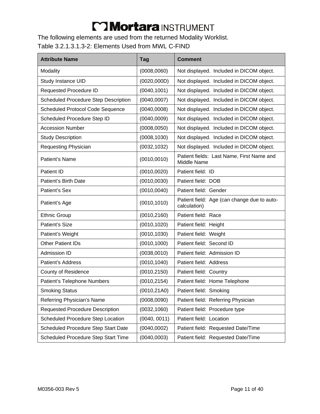The following elements are used from the returned Modality Worklist.

### Table 3.2.1.3.1.3-2: Elements Used from MWL C-FIND

| <b>Attribute Name</b>                       | <b>Tag</b>   | <b>Comment</b>                                              |
|---------------------------------------------|--------------|-------------------------------------------------------------|
| Modality                                    | (0008, 0060) | Not displayed. Included in DICOM object.                    |
| Study Instance UID                          | (0020, 000D) | Not displayed. Included in DICOM object.                    |
| Requested Procedure ID                      | (0040, 1001) | Not displayed. Included in DICOM object.                    |
| <b>Scheduled Procedure Step Description</b> | (0040, 0007) | Not displayed. Included in DICOM object.                    |
| <b>Scheduled Protocol Code Sequence</b>     | (0040, 0008) | Not displayed. Included in DICOM object.                    |
| Scheduled Procedure Step ID                 | (0040, 0009) | Not displayed. Included in DICOM object.                    |
| <b>Accession Number</b>                     | (0008, 0050) | Not displayed. Included in DICOM object.                    |
| <b>Study Description</b>                    | (0008, 1030) | Not displayed. Included in DICOM object.                    |
| Requesting Physician                        | (0032, 1032) | Not displayed. Included in DICOM object.                    |
| Patient's Name                              | (0010, 0010) | Patient fields: Last Name, First Name and<br>Middle Name    |
| Patient ID                                  | (0010, 0020) | Patient field: ID                                           |
| Patient's Birth Date                        | (0010, 0030) | Patient field: DOB                                          |
| Patient's Sex                               | (0010, 0040) | Patient field: Gender                                       |
| Patient's Age                               | (0010, 1010) | Patient field: Age (can change due to auto-<br>calculation) |
| <b>Ethnic Group</b>                         | (0010, 2160) | Patient field: Race                                         |
| Patient's Size                              | (0010, 1020) | Patient field: Height                                       |
| Patient's Weight                            | (0010, 1030) | Patient field: Weight                                       |
| <b>Other Patient IDs</b>                    | (0010, 1000) | Patient field: Second ID                                    |
| Admission ID                                | (0038,0010)  | Patient field: Admission ID                                 |
| <b>Patient's Address</b>                    | (0010, 1040) | Patient field: Address                                      |
| County of Residence                         | (0010, 2150) | Patient field: Country                                      |
| Patient's Telephone Numbers                 | (0010, 2154) | Patient field: Home Telephone                               |
| <b>Smoking Status</b>                       | (0010, 21A0) | Patient field: Smoking                                      |
| Referring Physician's Name                  | (0008, 0090) | Patient field: Referring Physician                          |
| <b>Requested Procedure Description</b>      | (0032, 1060) | Patient field: Procedure type                               |
| Scheduled Procedure Step Location           | (0040, 0011) | Patient field: Location                                     |
| Scheduled Procedure Step Start Date         | (0040, 0002) | Patient field: Requested Date/Time                          |
| Scheduled Procedure Step Start Time         | (0040, 0003) | Patient field: Requested Date/Time                          |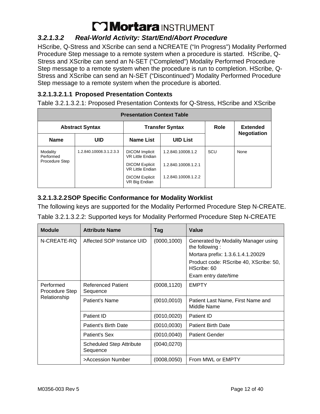### *3.2.1.3.2 Real-World Activity: Start/End/Abort Procedure*

HScribe, Q-Stress and XScribe can send a NCREATE ("In Progress") Modality Performed Procedure Step message to a remote system when a procedure is started. HScribe, Q-Stress and XScribe can send an N-SET ("Completed") Modality Performed Procedure Step message to a remote system when the procedure is run to completion. HScribe, Q-Stress and XScribe can send an N-SET ("Discontinued") Modality Performed Procedure Step message to a remote system when the procedure is aborted.

#### **3.2.1.3.2.1.1 Proposed Presentation Contexts**

Table 3.2.1.3.2.1: Proposed Presentation Contexts for Q-Stress, HScribe and XScribe

| <b>Presentation Context Table</b> |                         |                                                  |                     |             |                                       |
|-----------------------------------|-------------------------|--------------------------------------------------|---------------------|-------------|---------------------------------------|
| <b>Abstract Syntax</b>            |                         | <b>Transfer Syntax</b>                           |                     | <b>Role</b> | <b>Extended</b><br><b>Negotiation</b> |
| <b>Name</b>                       | <b>UID</b>              | Name List                                        | <b>UID List</b>     |             |                                       |
| Modality<br>Performed             | 1.2.840.10008.3.1.2.3.3 | <b>DICOM</b> Implicit<br><b>VR Little Endian</b> | 1.2.840.10008.1.2   | SCU         | None                                  |
| Procedure Step                    |                         | <b>DICOM Explicit</b><br><b>VR Little Endian</b> | 1.2.840.10008.1.2.1 |             |                                       |
|                                   |                         | <b>DICOM Explicit</b><br>VR Big Endian           | 1.2.840.10008.1.2.2 |             |                                       |

#### **3.2.1.3.2.2 SOP Specific Conformance for Modality Worklist**

The following keys are supported for the Modality Performed Procedure Step N-CREATE.

| Table 3.2.1.3.2.2: Supported keys for Modality Performed Procedure Step N-CREATE |
|----------------------------------------------------------------------------------|
|----------------------------------------------------------------------------------|

| <b>Module</b>               | <b>Attribute Name</b>                       | Tag          | Value                                                 |
|-----------------------------|---------------------------------------------|--------------|-------------------------------------------------------|
| N-CREATE-RQ                 | Affected SOP Instance UID                   | (0000, 1000) | Generated by Modality Manager using<br>the following: |
|                             |                                             |              | Mortara prefix: 1.3.6.1.4.1.20029                     |
|                             |                                             |              | Product code: RScribe 40, XScribe: 50,<br>HScribe: 60 |
|                             |                                             |              | Exam entry date/time                                  |
| Performed<br>Procedure Step | <b>Referenced Patient</b><br>Sequence       | (0008, 1120) | <b>EMPTY</b>                                          |
| Relationship                | Patient's Name                              | (0010, 0010) | Patient Last Name, First Name and<br>Middle Name      |
|                             | Patient ID                                  | (0010, 0020) | Patient ID                                            |
|                             | Patient's Birth Date                        | (0010, 0030) | <b>Patient Birth Date</b>                             |
|                             | Patient's Sex                               | (0010, 0040) | <b>Patient Gender</b>                                 |
|                             | <b>Scheduled Step Attribute</b><br>Sequence | (0040, 0270) |                                                       |
|                             | >Accession Number                           | (0008, 0050) | From MWL or EMPTY                                     |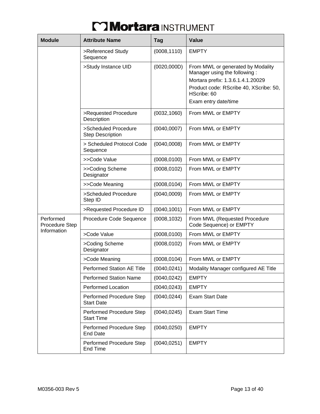| <b>Module</b>               | <b>Attribute Name</b>                           | <b>Tag</b>   | <b>Value</b>                                                                                                                                                                            |
|-----------------------------|-------------------------------------------------|--------------|-----------------------------------------------------------------------------------------------------------------------------------------------------------------------------------------|
|                             | >Referenced Study<br>Sequence                   | (0008, 1110) | <b>EMPTY</b>                                                                                                                                                                            |
|                             | >Study Instance UID                             | (0020, 000D) | From MWL or generated by Modality<br>Manager using the following:<br>Mortara prefix: 1.3.6.1.4.1.20029<br>Product code: RScribe 40, XScribe: 50,<br>HScribe: 60<br>Exam entry date/time |
|                             | >Requested Procedure<br>Description             | (0032, 1060) | From MWL or EMPTY                                                                                                                                                                       |
|                             | >Scheduled Procedure<br><b>Step Description</b> | (0040,0007)  | From MWL or EMPTY                                                                                                                                                                       |
|                             | > Scheduled Protocol Code<br>Sequence           | (0040,0008)  | From MWL or EMPTY                                                                                                                                                                       |
|                             | >>Code Value                                    | (0008, 0100) | From MWL or EMPTY                                                                                                                                                                       |
|                             | >>Coding Scheme<br>Designator                   | (0008, 0102) | From MWL or EMPTY                                                                                                                                                                       |
|                             | >>Code Meaning                                  | (0008, 0104) | From MWL or EMPTY                                                                                                                                                                       |
|                             | >Scheduled Procedure<br>Step ID                 | (0040, 0009) | From MWL or EMPTY                                                                                                                                                                       |
|                             | >Requested Procedure ID                         | (0040, 1001) | From MWL or EMPTY                                                                                                                                                                       |
| Performed<br>Procedure Step | Procedure Code Sequence                         | (0008, 1032) | From MWL (Requested Procedure<br>Code Sequence) or EMPTY                                                                                                                                |
| Information                 | >Code Value                                     | (0008, 0100) | From MWL or EMPTY                                                                                                                                                                       |
|                             | >Coding Scheme<br>Designator                    | (0008, 0102) | From MWL or EMPTY                                                                                                                                                                       |
|                             | >Code Meaning                                   | (0008, 0104) | From MWL or EMPTY                                                                                                                                                                       |
|                             | <b>Performed Station AE Title</b>               | (0040, 0241) | Modality Manager configured AE Title                                                                                                                                                    |
|                             | <b>Performed Station Name</b>                   | (0040, 0242) | <b>EMPTY</b>                                                                                                                                                                            |
|                             | <b>Performed Location</b>                       | (0040, 0243) | <b>EMPTY</b>                                                                                                                                                                            |
|                             | Performed Procedure Step<br><b>Start Date</b>   | (0040, 0244) | Exam Start Date                                                                                                                                                                         |
|                             | Performed Procedure Step<br><b>Start Time</b>   | (0040, 0245) | <b>Exam Start Time</b>                                                                                                                                                                  |
|                             | Performed Procedure Step<br><b>End Date</b>     | (0040, 0250) | <b>EMPTY</b>                                                                                                                                                                            |
|                             | Performed Procedure Step<br>End Time            | (0040, 0251) | <b>EMPTY</b>                                                                                                                                                                            |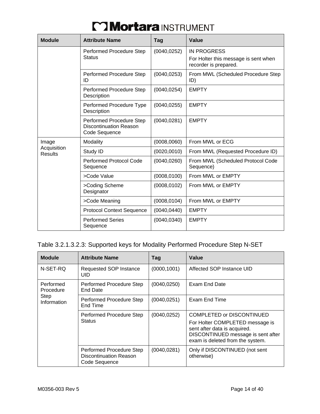| <b>Module</b>          | <b>Attribute Name</b>                                                      | Tag          | <b>Value</b>                                                                        |
|------------------------|----------------------------------------------------------------------------|--------------|-------------------------------------------------------------------------------------|
|                        | Performed Procedure Step<br><b>Status</b>                                  | (0040, 0252) | <b>IN PROGRESS</b><br>For Holter this message is sent when<br>recorder is prepared. |
|                        | Performed Procedure Step<br>ID                                             | (0040, 0253) | From MWL (Scheduled Procedure Step<br>ID)                                           |
|                        | Performed Procedure Step<br>Description                                    | (0040, 0254) | <b>EMPTY</b>                                                                        |
|                        | Performed Procedure Type<br>Description                                    | (0040, 0255) | <b>EMPTY</b>                                                                        |
|                        | Performed Procedure Step<br><b>Discontinuation Reason</b><br>Code Sequence | (0040, 0281) | <b>EMPTY</b>                                                                        |
| Image                  | Modality                                                                   | (0008, 0060) | From MWL or ECG                                                                     |
| Acquisition<br>Results | Study ID                                                                   | (0020, 0010) | From MWL (Requested Procedure ID)                                                   |
|                        | <b>Performed Protocol Code</b><br>Sequence                                 | (0040, 0260) | From MWL (Scheduled Protocol Code<br>Sequence)                                      |
|                        | >Code Value                                                                | (0008, 0100) | From MWL or EMPTY                                                                   |
|                        | >Coding Scheme<br>Designator                                               | (0008, 0102) | From MWL or EMPTY                                                                   |
|                        | >Code Meaning                                                              | (0008, 0104) | From MWL or EMPTY                                                                   |
|                        | <b>Protocol Context Sequence</b>                                           | (0040, 0440) | <b>EMPTY</b>                                                                        |
|                        | <b>Performed Series</b><br>Sequence                                        | (0040, 0340) | <b>EMPTY</b>                                                                        |

#### Table 3.2.1.3.2.3: Supported keys for Modality Performed Procedure Step N-SET

| <b>Module</b>              | <b>Attribute Name</b>                                                      | Tag          | Value                                                                                                                                                                  |
|----------------------------|----------------------------------------------------------------------------|--------------|------------------------------------------------------------------------------------------------------------------------------------------------------------------------|
| N-SET-RQ                   | Requested SOP Instance<br>UID                                              | (0000, 1001) | Affected SOP Instance UID                                                                                                                                              |
| Performed<br>Procedure     | Performed Procedure Step<br>End Date                                       | (0040, 0250) | Exam End Date                                                                                                                                                          |
| <b>Step</b><br>Information | Performed Procedure Step<br>End Time                                       | (0040, 0251) | Exam End Time                                                                                                                                                          |
|                            | Performed Procedure Step<br><b>Status</b>                                  | (0040, 0252) | COMPLETED or DISCONTINUED<br>For Holter COMPLETED message is<br>sent after data is acquired.<br>DISCONTINUED message is sent after<br>exam is deleted from the system. |
|                            | Performed Procedure Step<br><b>Discontinuation Reason</b><br>Code Sequence | (0040, 0281) | Only if DISCONTINUED (not sent<br>otherwise)                                                                                                                           |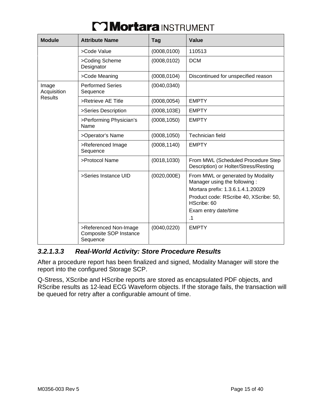| <b>Module</b>        | <b>Attribute Name</b>                                              | Tag          | Value                                                                       |
|----------------------|--------------------------------------------------------------------|--------------|-----------------------------------------------------------------------------|
|                      | >Code Value                                                        | (0008, 0100) | 110513                                                                      |
|                      | >Coding Scheme<br>Designator                                       | (0008, 0102) | <b>DCM</b>                                                                  |
|                      | >Code Meaning                                                      | (0008, 0104) | Discontinued for unspecified reason                                         |
| Image<br>Acquisition | <b>Performed Series</b><br>Sequence                                | (0040, 0340) |                                                                             |
| <b>Results</b>       | >Retrieve AE Title                                                 | (0008, 0054) | <b>EMPTY</b>                                                                |
|                      | >Series Description                                                | (0008, 103E) | <b>EMPTY</b>                                                                |
|                      | >Performing Physician's<br>Name                                    | (0008, 1050) | <b>EMPTY</b>                                                                |
|                      | >Operator's Name                                                   | (0008, 1050) | Technician field                                                            |
|                      | >Referenced Image<br>Sequence                                      | (0008, 1140) | <b>EMPTY</b>                                                                |
|                      | >Protocol Name                                                     | (0018, 1030) | From MWL (Scheduled Procedure Step<br>Description) or Holter/Stress/Resting |
|                      | >Series Instance UID                                               | (0020,000E)  | From MWL or generated by Modality<br>Manager using the following:           |
|                      |                                                                    |              | Mortara prefix: 1.3.6.1.4.1.20029                                           |
|                      |                                                                    |              | Product code: RScribe 40, XScribe: 50,<br>HScribe: 60                       |
|                      |                                                                    |              | Exam entry date/time                                                        |
|                      |                                                                    |              | $\cdot$ 1                                                                   |
|                      | >Referenced Non-Image<br><b>Composite SOP Instance</b><br>Sequence | (0040, 0220) | <b>EMPTY</b>                                                                |

#### *3.2.1.3.3 Real-World Activity: Store Procedure Results*

After a procedure report has been finalized and signed, Modality Manager will store the report into the configured Storage SCP.

Q-Stress, XScribe and HScribe reports are stored as encapsulated PDF objects, and RScribe results as 12-lead ECG Waveform objects. If the storage fails, the transaction will be queued for retry after a configurable amount of time.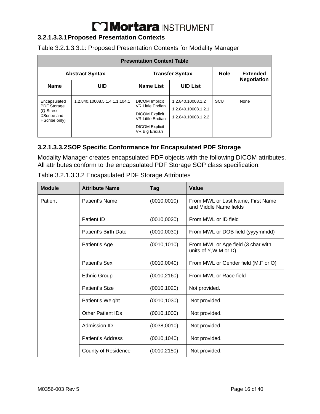#### **3.2.1.3.3.1 Proposed Presentation Contexts**

| <b>Presentation Context Table</b>                                         |                               |                                                                                                                                                |                                                                 |             |                    |
|---------------------------------------------------------------------------|-------------------------------|------------------------------------------------------------------------------------------------------------------------------------------------|-----------------------------------------------------------------|-------------|--------------------|
|                                                                           | <b>Abstract Syntax</b>        | <b>Transfer Syntax</b>                                                                                                                         |                                                                 | <b>Role</b> | <b>Extended</b>    |
| <b>Name</b>                                                               | UID                           | <b>Name List</b>                                                                                                                               | <b>UID List</b>                                                 |             | <b>Negotiation</b> |
| Encapsulated<br>PDF Storage<br>(Q-Stress,<br>XScribe and<br>HScribe only) | 1.2.840.10008.5.1.4.1.1.104.1 | <b>DICOM</b> Implicit<br><b>VR Little Endian</b><br><b>DICOM Explicit</b><br><b>VR Little Endian</b><br><b>DICOM Explicit</b><br>VR Big Endian | 1.2.840.10008.1.2<br>1.2.840.10008.1.2.1<br>1.2.840.10008.1.2.2 | SCU         | None               |

#### **3.2.1.3.3.2 SOP Specific Conformance for Encapsulated PDF Storage**

Modality Manager creates encapsulated PDF objects with the following DICOM attributes. All attributes conform to the encapsulated PDF Storage SOP class specification.

| <b>Module</b> | <b>Attribute Name</b>      | Tag          | Value                                                        |
|---------------|----------------------------|--------------|--------------------------------------------------------------|
| Patient       | Patient's Name             | (0010, 0010) | From MWL or Last Name, First Name<br>and Middle Name fields  |
|               | Patient ID                 | (0010, 0020) | From MWL or ID field                                         |
|               | Patient's Birth Date       | (0010, 0030) | From MWL or DOB field (yyyymmdd)                             |
|               | Patient's Age              | (0010, 1010) | From MWL or Age field (3 char with<br>units of Y, W, M or D) |
|               | Patient's Sex              | (0010, 0040) | From MWL or Gender field (M,F or O)                          |
|               | <b>Ethnic Group</b>        | (0010, 2160) | From MWL or Race field                                       |
|               | Patient's Size             | (0010, 1020) | Not provided.                                                |
|               | Patient's Weight           | (0010, 1030) | Not provided.                                                |
|               | <b>Other Patient IDs</b>   | (0010, 1000) | Not provided.                                                |
|               | Admission ID               | (0038,0010)  | Not provided.                                                |
|               | Patient's Address          | (0010, 1040) | Not provided.                                                |
|               | <b>County of Residence</b> | (0010, 2150) | Not provided.                                                |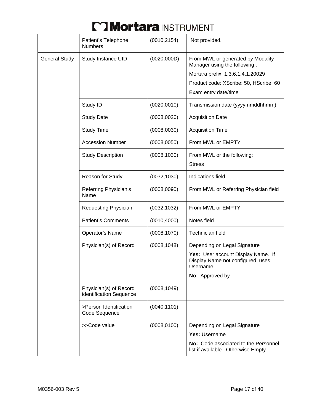|                      | Patient's Telephone<br><b>Numbers</b>             | (0010, 2154) | Not provided.                                                                        |
|----------------------|---------------------------------------------------|--------------|--------------------------------------------------------------------------------------|
| <b>General Study</b> | Study Instance UID                                | (0020, 000D) | From MWL or generated by Modality<br>Manager using the following:                    |
|                      |                                                   |              | Mortara prefix: 1.3.6.1.4.1.20029                                                    |
|                      |                                                   |              | Product code: XScribe: 50, HScribe: 60                                               |
|                      |                                                   |              | Exam entry date/time                                                                 |
|                      | Study ID                                          | (0020, 0010) | Transmission date (yyyymmddhhmm)                                                     |
|                      | <b>Study Date</b>                                 | (0008, 0020) | <b>Acquisition Date</b>                                                              |
|                      | <b>Study Time</b>                                 | (0008, 0030) | <b>Acquisition Time</b>                                                              |
|                      | <b>Accession Number</b>                           | (0008, 0050) | From MWL or EMPTY                                                                    |
|                      | <b>Study Description</b>                          | (0008, 1030) | From MWL or the following:                                                           |
|                      |                                                   |              | <b>Stress</b>                                                                        |
|                      | Reason for Study                                  | (0032, 1030) | Indications field                                                                    |
|                      | Referring Physician's<br>Name                     | (0008, 0090) | From MWL or Referring Physician field                                                |
|                      | Requesting Physician                              | (0032, 1032) | From MWL or EMPTY                                                                    |
|                      | <b>Patient's Comments</b>                         | (0010, 4000) | Notes field                                                                          |
|                      | Operator's Name                                   | (0008, 1070) | Technician field                                                                     |
|                      | Physician(s) of Record                            | (0008, 1048) | Depending on Legal Signature                                                         |
|                      |                                                   |              | Yes: User account Display Name. If<br>Display Name not configured, uses<br>Username. |
|                      |                                                   |              | <b>No:</b> Approved by                                                               |
|                      | Physician(s) of Record<br>identification Sequence | (0008, 1049) |                                                                                      |
|                      | >Person Identification<br>Code Sequence           | (0040, 1101) |                                                                                      |
|                      | >>Code value                                      | (0008, 0100) | Depending on Legal Signature                                                         |
|                      |                                                   |              | Yes: Username                                                                        |
|                      |                                                   |              | No: Code associated to the Personnel<br>list if available. Otherwise Empty           |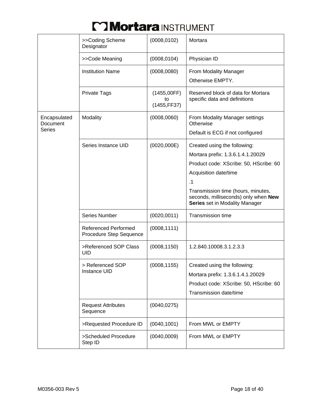|                          | >>Coding Scheme<br>Designator                          | (0008, 0102)                      | Mortara                                                                                                      |
|--------------------------|--------------------------------------------------------|-----------------------------------|--------------------------------------------------------------------------------------------------------------|
|                          | >>Code Meaning                                         | (0008, 0104)                      | Physician ID                                                                                                 |
|                          | <b>Institution Name</b>                                | (0008, 0080)                      | From Modality Manager                                                                                        |
|                          |                                                        |                                   | Otherwise EMPTY.                                                                                             |
|                          | <b>Private Tags</b>                                    | (1455,00FF)<br>to<br>(1455, FF37) | Reserved block of data for Mortara<br>specific data and definitions                                          |
| Encapsulated<br>Document | Modality                                               | (0008, 0060)                      | From Modality Manager settings<br>Otherwise                                                                  |
| Series                   |                                                        |                                   | Default is ECG if not configured                                                                             |
|                          | Series Instance UID                                    | (0020,000E)                       | Created using the following:                                                                                 |
|                          |                                                        |                                   | Mortara prefix: 1.3.6.1.4.1.20029                                                                            |
|                          |                                                        |                                   | Product code: XScribe: 50, HScribe: 60                                                                       |
|                          |                                                        |                                   | Acquisition date/time                                                                                        |
|                          |                                                        |                                   | .1                                                                                                           |
|                          |                                                        |                                   | Transmission time (hours, minutes,<br>seconds, milliseconds) only when New<br>Series set in Modality Manager |
|                          | Series Number                                          | (0020, 0011)                      | <b>Transmission time</b>                                                                                     |
|                          | <b>Referenced Performed</b><br>Procedure Step Sequence | (0008, 1111)                      |                                                                                                              |
|                          | >Referenced SOP Class<br><b>UID</b>                    | (0008, 1150)                      | 1.2.840.10008.3.1.2.3.3                                                                                      |
|                          | > Referenced SOP                                       | (0008, 1155)                      | Created using the following:                                                                                 |
|                          | Instance UID                                           |                                   | Mortara prefix: 1.3.6.1.4.1.20029                                                                            |
|                          |                                                        |                                   | Product code: XScribe: 50, HScribe: 60                                                                       |
|                          |                                                        |                                   | Transmission date/time                                                                                       |
|                          | <b>Request Attributes</b><br>Sequence                  | (0040, 0275)                      |                                                                                                              |
|                          | >Requested Procedure ID                                | (0040, 1001)                      | From MWL or EMPTY                                                                                            |
|                          | >Scheduled Procedure<br>Step ID                        | (0040,0009)                       | From MWL or EMPTY                                                                                            |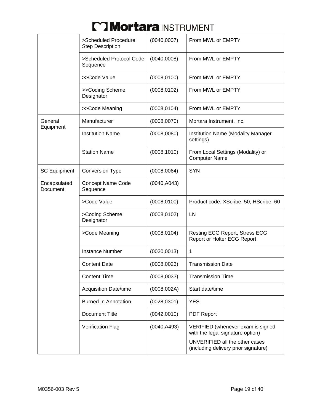|                          | >Scheduled Procedure<br><b>Step Description</b> | (0040,0007)  | From MWL or EMPTY                                                      |
|--------------------------|-------------------------------------------------|--------------|------------------------------------------------------------------------|
|                          | >Scheduled Protocol Code<br>Sequence            | (0040,0008)  | From MWL or EMPTY                                                      |
|                          | >>Code Value                                    | (0008, 0100) | From MWL or EMPTY                                                      |
|                          | >>Coding Scheme<br>Designator                   | (0008, 0102) | From MWL or EMPTY                                                      |
|                          | >>Code Meaning                                  | (0008, 0104) | From MWL or EMPTY                                                      |
| General<br>Equipment     | Manufacturer                                    | (0008, 0070) | Mortara Instrument, Inc.                                               |
|                          | <b>Institution Name</b>                         | (0008, 0080) | <b>Institution Name (Modality Manager</b><br>settings)                 |
|                          | <b>Station Name</b>                             | (0008, 1010) | From Local Settings (Modality) or<br><b>Computer Name</b>              |
| <b>SC Equipment</b>      | <b>Conversion Type</b>                          | (0008, 0064) | <b>SYN</b>                                                             |
| Encapsulated<br>Document | <b>Concept Name Code</b><br>Sequence            | (0040, A043) |                                                                        |
|                          | >Code Value                                     | (0008, 0100) | Product code: XScribe: 50, HScribe: 60                                 |
|                          | >Coding Scheme<br>Designator                    | (0008, 0102) | LN                                                                     |
|                          | >Code Meaning                                   | (0008, 0104) | Resting ECG Report, Stress ECG<br>Report or Holter ECG Report          |
|                          | <b>Instance Number</b>                          | (0020, 0013) | 1                                                                      |
|                          | <b>Content Date</b>                             | (0008, 0023) | <b>Transmission Date</b>                                               |
|                          | <b>Content Time</b>                             | (0008, 0033) | <b>Transmission Time</b>                                               |
|                          | <b>Acquisition Date/time</b>                    | (0008, 002A) | Start date/time                                                        |
|                          | <b>Burned In Annotation</b>                     | (0028, 0301) | <b>YES</b>                                                             |
|                          | <b>Document Title</b>                           | (0042,0010)  | <b>PDF Report</b>                                                      |
|                          | <b>Verification Flag</b>                        | (0040, A493) | VERIFIED (whenever exam is signed<br>with the legal signature option)  |
|                          |                                                 |              | UNVERIFIED all the other cases<br>(including delivery prior signature) |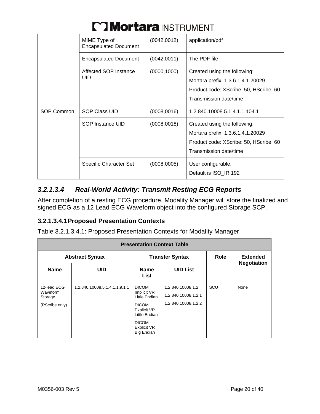|            | MIME Type of<br><b>Encapsulated Document</b> | (0042,0012)  | application/pdf                                                                                                                       |
|------------|----------------------------------------------|--------------|---------------------------------------------------------------------------------------------------------------------------------------|
|            | Encapsulated Document                        | (0042,0011)  | The PDF file                                                                                                                          |
|            | Affected SOP Instance<br><b>UID</b>          | (0000, 1000) | Created using the following:<br>Mortara prefix: 1.3.6.1.4.1.20029<br>Product code: XScribe: 50, HScribe: 60<br>Transmission date/time |
| SOP Common | <b>SOP Class UID</b>                         | (0008,0016)  | 1.2.840.10008.5.1.4.1.1.104.1                                                                                                         |
|            | SOP Instance UID                             | (0008, 0018) | Created using the following:<br>Mortara prefix: 1.3.6.1.4.1.20029<br>Product code: XScribe: 50, HScribe: 60<br>Transmission date/time |
|            | <b>Specific Character Set</b>                | (0008,0005)  | User configurable.<br>Default is ISO_IR 192                                                                                           |

### *3.2.1.3.4 Real-World Activity: Transmit Resting ECG Reports*

After completion of a resting ECG procedure, Modality Manager will store the finalized and signed ECG as a 12 Lead ECG Waveform object into the configured Storage SCP.

#### **3.2.1.3.4.1 Proposed Presentation Contexts**

Table 3.2.1.3.4.1: Proposed Presentation Contexts for Modality Manager

| <b>Presentation Context Table</b>                    |                               |                                                                                                                                                  |                                                                 |             |                                       |
|------------------------------------------------------|-------------------------------|--------------------------------------------------------------------------------------------------------------------------------------------------|-----------------------------------------------------------------|-------------|---------------------------------------|
|                                                      | <b>Abstract Syntax</b>        | <b>Transfer Syntax</b>                                                                                                                           |                                                                 | <b>Role</b> | <b>Extended</b><br><b>Negotiation</b> |
| <b>Name</b>                                          | <b>UID</b>                    | <b>Name</b><br>List                                                                                                                              | <b>UID List</b>                                                 |             |                                       |
| 12-lead ECG<br>Waveform<br>Storage<br>(RScribe only) | 1.2.840.10008.5.1.4.1.1.9.1.1 | <b>DICOM</b><br>Implicit VR<br>Little Endian<br><b>DICOM</b><br>Explicit VR<br>Little Endian<br><b>DICOM</b><br>Explicit VR<br><b>Big Endian</b> | 1.2.840.10008.1.2<br>1.2.840.10008.1.2.1<br>1.2.840.10008.1.2.2 | SCU         | None                                  |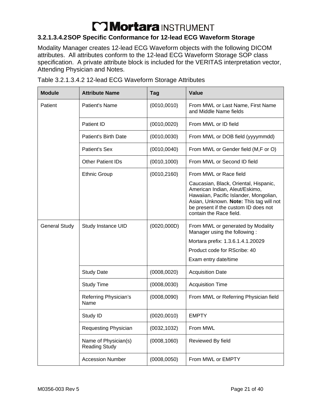#### **3.2.1.3.4.2 SOP Specific Conformance for 12-lead ECG Waveform Storage**

Modality Manager creates 12-lead ECG Waveform objects with the following DICOM attributes. All attributes conform to the 12-lead ECG Waveform Storage SOP class specification. A private attribute block is included for the VERITAS interpretation vector, Attending Physician and Notes.

| <b>Module</b>        | <b>Attribute Name</b>                        | <b>Tag</b>   | Value                                                                                                                                                                                                                           |
|----------------------|----------------------------------------------|--------------|---------------------------------------------------------------------------------------------------------------------------------------------------------------------------------------------------------------------------------|
| Patient              | <b>Patient's Name</b>                        | (0010, 0010) | From MWL or Last Name, First Name<br>and Middle Name fields                                                                                                                                                                     |
|                      | Patient ID                                   | (0010, 0020) | From MWL or ID field                                                                                                                                                                                                            |
|                      | Patient's Birth Date                         | (0010, 0030) | From MWL or DOB field (yyyymmdd)                                                                                                                                                                                                |
|                      | <b>Patient's Sex</b>                         | (0010, 0040) | From MWL or Gender field (M,F or O)                                                                                                                                                                                             |
|                      | <b>Other Patient IDs</b>                     | (0010, 1000) | From MWL or Second ID field                                                                                                                                                                                                     |
|                      | <b>Ethnic Group</b>                          | (0010, 2160) | From MWL or Race field                                                                                                                                                                                                          |
|                      |                                              |              | Caucasian, Black, Oriental, Hispanic,<br>American Indian, Aleut/Eskimo,<br>Hawaiian, Pacific Islander, Mongolian,<br>Asian, Unknown. Note: This tag will not<br>be present if the custom ID does not<br>contain the Race field. |
| <b>General Study</b> | Study Instance UID                           | (0020, 000D) | From MWL or generated by Modality<br>Manager using the following:                                                                                                                                                               |
|                      |                                              |              | Mortara prefix: 1.3.6.1.4.1.20029                                                                                                                                                                                               |
|                      |                                              |              | Product code for RScribe: 40                                                                                                                                                                                                    |
|                      |                                              |              | Exam entry date/time                                                                                                                                                                                                            |
|                      | <b>Study Date</b>                            | (0008, 0020) | <b>Acquisition Date</b>                                                                                                                                                                                                         |
|                      | <b>Study Time</b>                            | (0008, 0030) | <b>Acquisition Time</b>                                                                                                                                                                                                         |
|                      | Referring Physician's<br>Name                | (0008, 0090) | From MWL or Referring Physician field                                                                                                                                                                                           |
|                      | Study ID                                     | (0020, 0010) | <b>EMPTY</b>                                                                                                                                                                                                                    |
|                      | Requesting Physician                         | (0032, 1032) | From MWL                                                                                                                                                                                                                        |
|                      | Name of Physician(s)<br><b>Reading Study</b> | (0008, 1060) | Reviewed By field                                                                                                                                                                                                               |
|                      | <b>Accession Number</b>                      | (0008, 0050) | From MWL or EMPTY                                                                                                                                                                                                               |

Table 3.2.1.3.4.2 12-lead ECG Waveform Storage Attributes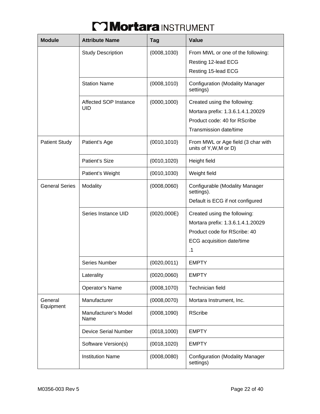| <b>Module</b>         | <b>Attribute Name</b>        | <b>Tag</b>   | Value                                                                                                                                |
|-----------------------|------------------------------|--------------|--------------------------------------------------------------------------------------------------------------------------------------|
|                       | <b>Study Description</b>     | (0008, 1030) | From MWL or one of the following:<br>Resting 12-lead ECG<br>Resting 15-lead ECG                                                      |
|                       | <b>Station Name</b>          | (0008, 1010) | <b>Configuration (Modality Manager</b><br>settings)                                                                                  |
|                       | Affected SOP Instance<br>UID | (0000, 1000) | Created using the following:<br>Mortara prefix: 1.3.6.1.4.1.20029<br>Product code: 40 for RScribe<br>Transmission date/time          |
| <b>Patient Study</b>  | Patient's Age                | (0010, 1010) | From MWL or Age field (3 char with<br>units of Y, W, M or D)                                                                         |
|                       | Patient's Size               | (0010, 1020) | Height field                                                                                                                         |
|                       | Patient's Weight             | (0010, 1030) | Weight field                                                                                                                         |
| <b>General Series</b> | Modality                     | (0008, 0060) | Configurable (Modality Manager<br>settings).<br>Default is ECG if not configured                                                     |
|                       | Series Instance UID          | (0020,000E)  | Created using the following:<br>Mortara prefix: 1.3.6.1.4.1.20029<br>Product code for RScribe: 40<br>ECG acquisition date/time<br>.1 |
|                       | <b>Series Number</b>         | (0020, 0011) | <b>EMPTY</b>                                                                                                                         |
|                       | Laterality                   | (0020, 0060) | <b>EMPTY</b>                                                                                                                         |
|                       | Operator's Name              | (0008, 1070) | <b>Technician field</b>                                                                                                              |
| General               | Manufacturer                 | (0008, 0070) | Mortara Instrument, Inc.                                                                                                             |
| Equipment             | Manufacturer's Model<br>Name | (0008, 1090) | <b>RScribe</b>                                                                                                                       |
|                       | <b>Device Serial Number</b>  | (0018, 1000) | <b>EMPTY</b>                                                                                                                         |
|                       | Software Version(s)          | (0018, 1020) | <b>EMPTY</b>                                                                                                                         |
|                       | <b>Institution Name</b>      | (0008, 0080) | <b>Configuration (Modality Manager</b><br>settings)                                                                                  |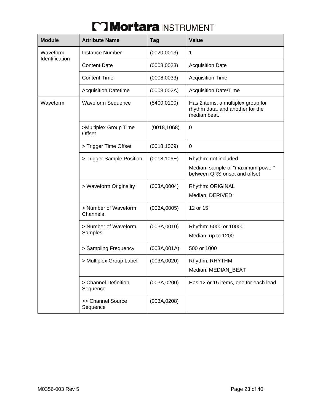| <b>Module</b>              | <b>Attribute Name</b>                  | <b>Tag</b>   | Value                                                                                  |
|----------------------------|----------------------------------------|--------------|----------------------------------------------------------------------------------------|
| Waveform<br>Identification | <b>Instance Number</b>                 | (0020, 0013) | 1                                                                                      |
|                            | <b>Content Date</b>                    | (0008, 0023) | <b>Acquisition Date</b>                                                                |
|                            | <b>Content Time</b>                    | (0008, 0033) | <b>Acquisition Time</b>                                                                |
|                            | <b>Acquisition Datetime</b>            | (0008, 002A) | <b>Acquisition Date/Time</b>                                                           |
| Waveform                   | <b>Waveform Sequence</b>               | (5400, 0100) | Has 2 items, a multiplex group for<br>rhythm data, and another for the<br>median beat. |
|                            | >Multiplex Group Time<br><b>Offset</b> | (0018, 1068) | 0                                                                                      |
|                            | > Trigger Time Offset                  | (0018, 1069) | 0                                                                                      |
|                            | > Trigger Sample Position              | (0018, 106E) | Rhythm: not included                                                                   |
|                            |                                        |              | Median: sample of "maximum power"<br>between QRS onset and offset                      |
|                            | > Waveform Originality                 | (003A, 0004) | Rhythm: ORIGINAL                                                                       |
|                            |                                        |              | Median: DERIVED                                                                        |
|                            | > Number of Waveform<br>Channels       | (003A, 0005) | 12 or 15                                                                               |
|                            | > Number of Waveform                   | (003A, 0010) | Rhythm: 5000 or 10000                                                                  |
|                            | Samples                                |              | Median: up to 1200                                                                     |
|                            | > Sampling Frequency                   | (003A, 001A) | 500 or 1000                                                                            |
|                            | > Multiplex Group Label                | (003A, 0020) | Rhythm: RHYTHM                                                                         |
|                            |                                        |              | Median: MEDIAN_BEAT                                                                    |
|                            | > Channel Definition<br>Sequence       | (003A, 0200) | Has 12 or 15 items, one for each lead                                                  |
|                            | >> Channel Source<br>Sequence          | (003A, 0208) |                                                                                        |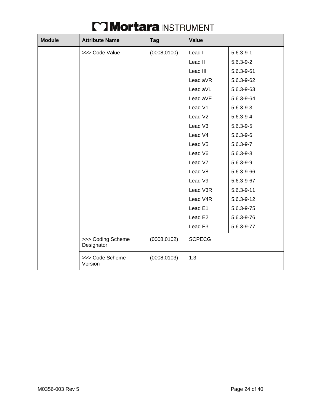| <b>Module</b> | <b>Attribute Name</b>           | Tag          | <b>Value</b>        |                  |  |
|---------------|---------------------------------|--------------|---------------------|------------------|--|
|               | >>> Code Value                  | (0008, 0100) | Lead I              | $5.6.3 - 9 - 1$  |  |
|               |                                 |              | Lead II             | $5.6.3 - 9 - 2$  |  |
|               |                                 |              | Lead III            | 5.6.3-9-61       |  |
|               |                                 |              | Lead aVR            | 5.6.3-9-62       |  |
|               |                                 |              | Lead aVL            | 5.6.3-9-63       |  |
|               |                                 |              | Lead aVF            | 5.6.3-9-64       |  |
|               |                                 |              | Lead V1             | $5.6.3 - 9 - 3$  |  |
|               |                                 |              | Lead V <sub>2</sub> | $5.6.3 - 9 - 4$  |  |
|               |                                 |              | Lead V3             | $5.6.3 - 9 - 5$  |  |
|               |                                 |              | Lead V4             | $5.6.3 - 9 - 6$  |  |
|               |                                 |              | Lead V5             | $5.6.3 - 9 - 7$  |  |
|               |                                 |              | Lead V6             | $5.6.3 - 9 - 8$  |  |
|               |                                 |              | Lead V7             | $5.6.3 - 9 - 9$  |  |
|               |                                 |              | Lead V8             | 5.6.3-9-66       |  |
|               |                                 |              | Lead V9             | 5.6.3-9-67       |  |
|               |                                 |              | Lead V3R            | $5.6.3 - 9 - 11$ |  |
|               |                                 |              | Lead V4R            | 5.6.3-9-12       |  |
|               |                                 |              | Lead E1             | 5.6.3-9-75       |  |
|               |                                 |              | Lead E <sub>2</sub> | 5.6.3-9-76       |  |
|               |                                 |              | Lead E3             | 5.6.3-9-77       |  |
|               | >>> Coding Scheme<br>Designator | (0008, 0102) | <b>SCPECG</b>       |                  |  |
|               | >>> Code Scheme<br>Version      | (0008, 0103) | 1.3                 |                  |  |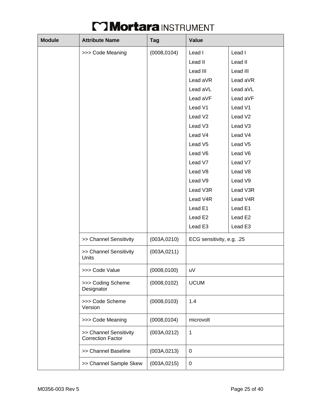| <b>Module</b> | <b>Attribute Name</b>                              | <b>Tag</b>   | Value                     |                     |
|---------------|----------------------------------------------------|--------------|---------------------------|---------------------|
|               | >>> Code Meaning                                   | (0008, 0104) | Lead I                    | Lead I              |
|               |                                                    |              | Lead II                   | Lead II             |
|               |                                                    |              | Lead III                  | Lead III            |
|               |                                                    |              | Lead aVR                  | Lead aVR            |
|               |                                                    |              | Lead aVL                  | Lead aVL            |
|               |                                                    |              | Lead aVF                  | Lead aVF            |
|               |                                                    |              | Lead V1                   | Lead V1             |
|               |                                                    |              | Lead V <sub>2</sub>       | Lead V <sub>2</sub> |
|               |                                                    |              | Lead V3                   | Lead V3             |
|               |                                                    |              | Lead V4                   | Lead V4             |
|               |                                                    |              | Lead V <sub>5</sub>       | Lead V5             |
|               |                                                    |              | Lead V6                   | Lead V6             |
|               |                                                    |              | Lead V7                   | Lead V7             |
|               |                                                    |              | Lead V8                   | Lead V8             |
|               |                                                    |              | Lead V9                   | Lead V9             |
|               |                                                    |              | Lead V3R                  | Lead V3R            |
|               |                                                    |              | Lead V4R                  | Lead V4R            |
|               |                                                    |              | Lead E1                   | Lead E1             |
|               |                                                    |              | Lead E2                   | Lead E2             |
|               |                                                    |              | Lead E3                   | Lead E3             |
|               | >> Channel Sensitivity                             | (003A, 0210) | ECG sensitivity, e.g. .25 |                     |
|               | >> Channel Sensitivity<br>Units                    | (003A, 0211) |                           |                     |
|               | >>> Code Value                                     | (0008, 0100) | uV                        |                     |
|               | >>> Coding Scheme<br>Designator                    | (0008, 0102) | <b>UCUM</b>               |                     |
|               | >>> Code Scheme<br>Version                         | (0008, 0103) | 1.4                       |                     |
|               | >>> Code Meaning                                   | (0008, 0104) | microvolt                 |                     |
|               | >> Channel Sensitivity<br><b>Correction Factor</b> | (003A, 0212) | 1                         |                     |
|               | >> Channel Baseline                                | (003A, 0213) | 0                         |                     |
|               | >> Channel Sample Skew                             | (003A, 0215) | 0                         |                     |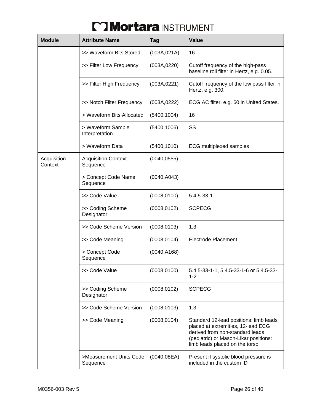| <b>Module</b>          | <b>Attribute Name</b>                  | <b>Tag</b>   | <b>Value</b>                                                                                                                                                                               |
|------------------------|----------------------------------------|--------------|--------------------------------------------------------------------------------------------------------------------------------------------------------------------------------------------|
|                        | >> Waveform Bits Stored                | (003A, 021A) | 16                                                                                                                                                                                         |
|                        | >> Filter Low Frequency                | (003A, 0220) | Cutoff frequency of the high-pass<br>baseline roll filter in Hertz, e.g. 0.05.                                                                                                             |
|                        | >> Filter High Frequency               | (003A, 0221) | Cutoff frequency of the low pass filter in<br>Hertz, e.g. 300.                                                                                                                             |
|                        | >> Notch Filter Frequency              | (003A, 0222) | ECG AC filter, e.g. 60 in United States.                                                                                                                                                   |
|                        | > Waveform Bits Allocated              | (5400, 1004) | 16                                                                                                                                                                                         |
|                        | > Waveform Sample<br>Interpretation    | (5400, 1006) | SS                                                                                                                                                                                         |
|                        | > Waveform Data                        | (5400, 1010) | <b>ECG</b> multiplexed samples                                                                                                                                                             |
| Acquisition<br>Context | <b>Acquisition Context</b><br>Sequence | (0040, 0555) |                                                                                                                                                                                            |
|                        | > Concept Code Name<br>Sequence        | (0040, A043) |                                                                                                                                                                                            |
|                        | >> Code Value                          | (0008, 0100) | $5.4.5 - 33 - 1$                                                                                                                                                                           |
|                        | >> Coding Scheme<br>Designator         | (0008, 0102) | <b>SCPECG</b>                                                                                                                                                                              |
|                        | >> Code Scheme Version                 | (0008, 0103) | 1.3                                                                                                                                                                                        |
|                        | >> Code Meaning                        | (0008, 0104) | <b>Electrode Placement</b>                                                                                                                                                                 |
|                        | > Concept Code<br>Sequence             | (0040, A168) |                                                                                                                                                                                            |
|                        | >> Code Value                          | (0008, 0100) | 5.4.5-33-1-1, 5.4.5-33-1-6 or 5.4.5-33-<br>$1 - 2$                                                                                                                                         |
|                        | >> Coding Scheme<br>Designator         | (0008, 0102) | <b>SCPECG</b>                                                                                                                                                                              |
|                        | >> Code Scheme Version                 | (0008, 0103) | 1.3                                                                                                                                                                                        |
|                        | >> Code Meaning                        | (0008, 0104) | Standard 12-lead positions: limb leads<br>placed at extremities, 12-lead ECG<br>derived from non-standard leads<br>(pediatric) or Mason-Likar positions:<br>limb leads placed on the torso |
|                        | >Measurement Units Code<br>Sequence    | (0040, 08EA) | Present if systolic blood pressure is<br>included in the custom ID                                                                                                                         |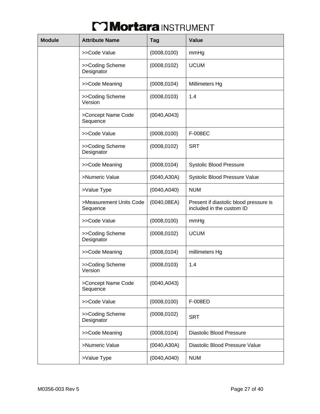| <b>Module</b> | <b>Attribute Name</b>               | Tag          | <b>Value</b>                                                        |
|---------------|-------------------------------------|--------------|---------------------------------------------------------------------|
|               | >>Code Value                        | (0008, 0100) | mmHg                                                                |
|               | >>Coding Scheme<br>Designator       | (0008, 0102) | <b>UCUM</b>                                                         |
|               | >>Code Meaning                      | (0008, 0104) | Millimeters Hg                                                      |
|               | >>Coding Scheme<br>Version          | (0008, 0103) | 1.4                                                                 |
|               | >Concept Name Code<br>Sequence      | (0040, A043) |                                                                     |
|               | >>Code Value                        | (0008, 0100) | F-008EC                                                             |
|               | >>Coding Scheme<br>Designator       | (0008, 0102) | <b>SRT</b>                                                          |
|               | >>Code Meaning                      | (0008, 0104) | <b>Systolic Blood Pressure</b>                                      |
|               | >Numeric Value                      | (0040, A30A) | Systolic Blood Pressure Value                                       |
|               | >Value Type                         | (0040, A040) | <b>NUM</b>                                                          |
|               | >Measurement Units Code<br>Sequence | (0040, 08EA) | Present if diastolic blood pressure is<br>included in the custom ID |
|               | >>Code Value                        | (0008, 0100) | mmHg                                                                |
|               | >>Coding Scheme<br>Designator       | (0008, 0102) | <b>UCUM</b>                                                         |
|               | >>Code Meaning                      | (0008, 0104) | millimeters Hg                                                      |
|               | >>Coding Scheme<br>Version          | (0008, 0103) | 1.4                                                                 |
|               | >Concept Name Code<br>Sequence      | (0040, A043) |                                                                     |
|               | >>Code Value                        | (0008, 0100) | F-008ED                                                             |
|               | >>Coding Scheme<br>Designator       | (0008, 0102) | <b>SRT</b>                                                          |
|               | >>Code Meaning                      | (0008, 0104) | <b>Diastolic Blood Pressure</b>                                     |
|               | >Numeric Value                      | (0040, A30A) | Diastolic Blood Pressure Value                                      |
|               | >Value Type                         | (0040, A040) | <b>NUM</b>                                                          |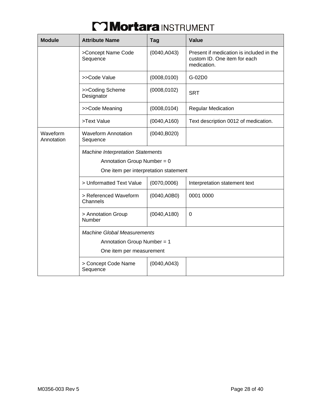| <b>Module</b>          | <b>Attribute Name</b>                  | Tag          | <b>Value</b>                                                                            |  |  |
|------------------------|----------------------------------------|--------------|-----------------------------------------------------------------------------------------|--|--|
|                        | >Concept Name Code<br>Sequence         | (0040, A043) | Present if medication is included in the<br>custom ID. One item for each<br>medication. |  |  |
|                        | >>Code Value                           | (0008, 0100) | G-02D0                                                                                  |  |  |
|                        | >>Coding Scheme<br>Designator          | (0008, 0102) | <b>SRT</b>                                                                              |  |  |
|                        | >>Code Meaning                         | (0008, 0104) | <b>Regular Medication</b>                                                               |  |  |
|                        | >Text Value                            | (0040, A160) | Text description 0012 of medication.                                                    |  |  |
| Waveform<br>Annotation | <b>Waveform Annotation</b><br>Sequence | (0040, B020) |                                                                                         |  |  |
|                        | One item per interpretation statement  |              |                                                                                         |  |  |
|                        | > Unformatted Text Value               | (0070,0006)  | Interpretation statement text                                                           |  |  |
|                        | > Referenced Waveform<br>Channels      | (0040, A0B0) | 0001 0000                                                                               |  |  |
|                        | > Annotation Group<br>Number           | (0040, A180) | 0                                                                                       |  |  |
|                        |                                        |              |                                                                                         |  |  |
|                        | Annotation Group Number = 1            |              |                                                                                         |  |  |
|                        | One item per measurement               |              |                                                                                         |  |  |
|                        | > Concept Code Name<br>Sequence        | (0040, A043) |                                                                                         |  |  |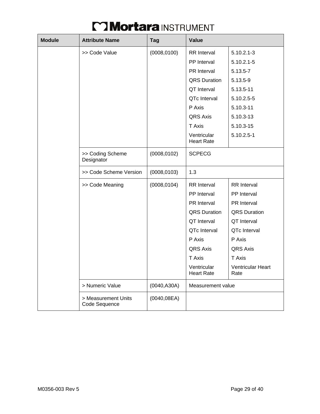| <b>Module</b> | <b>Attribute Name</b>                | <b>Tag</b>   | Value                            |                           |
|---------------|--------------------------------------|--------------|----------------------------------|---------------------------|
|               | >> Code Value                        | (0008, 0100) | <b>RR</b> Interval               | $5.10.2.1 - 3$            |
|               |                                      |              | PP Interval                      | $5.10.2.1 - 5$            |
|               |                                      |              | PR Interval                      | 5.13.5-7                  |
|               |                                      |              | <b>QRS Duration</b>              | 5.13.5-9                  |
|               |                                      |              | QT Interval                      | 5.13.5-11                 |
|               |                                      |              | QTc Interval                     | 5.10.2.5-5                |
|               |                                      |              | P Axis                           | 5.10.3-11                 |
|               |                                      |              | <b>QRS Axis</b>                  | 5.10.3-13                 |
|               |                                      |              | T Axis                           | 5.10.3-15                 |
|               |                                      |              | Ventricular<br><b>Heart Rate</b> | $5.10.2.5 - 1$            |
|               | >> Coding Scheme<br>Designator       | (0008, 0102) | <b>SCPECG</b>                    |                           |
|               | >> Code Scheme Version               | (0008, 0103) | 1.3                              |                           |
|               | >> Code Meaning                      | (0008, 0104) | <b>RR</b> Interval               | <b>RR</b> Interval        |
|               |                                      |              | PP Interval                      | PP Interval               |
|               |                                      |              | PR Interval                      | PR Interval               |
|               |                                      |              | <b>QRS Duration</b>              | <b>QRS</b> Duration       |
|               |                                      |              | QT Interval                      | QT Interval               |
|               |                                      |              | QTc Interval                     | QTc Interval              |
|               |                                      |              | P Axis                           | P Axis                    |
|               |                                      |              | QRS Axis                         | QRS Axis                  |
|               |                                      |              | T Axis                           | T Axis                    |
|               |                                      |              | Ventricular<br><b>Heart Rate</b> | Ventricular Heart<br>Rate |
|               | > Numeric Value                      | (0040, A30A) | Measurement value                |                           |
|               | > Measurement Units<br>Code Sequence | (0040, 08EA) |                                  |                           |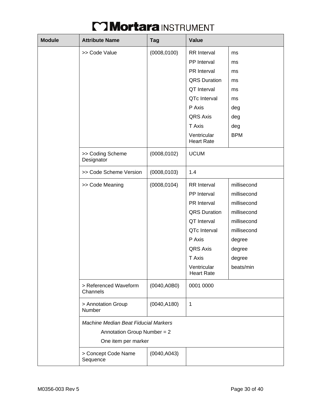| <b>Module</b> | <b>Attribute Name</b>                       | <b>Tag</b>   | Value                            |             |
|---------------|---------------------------------------------|--------------|----------------------------------|-------------|
|               | >> Code Value                               | (0008, 0100) | <b>RR</b> Interval               | ms          |
|               |                                             |              | PP Interval                      | ms          |
|               |                                             |              | PR Interval                      | ms          |
|               |                                             |              | <b>QRS Duration</b>              | ms          |
|               |                                             |              | QT Interval                      | ms          |
|               |                                             |              | QTc Interval                     | ms          |
|               |                                             |              | P Axis                           | deg         |
|               |                                             |              | QRS Axis                         | deg         |
|               |                                             |              | T Axis                           | deg         |
|               |                                             |              | Ventricular<br><b>Heart Rate</b> | <b>BPM</b>  |
|               | >> Coding Scheme<br>Designator              | (0008, 0102) | <b>UCUM</b>                      |             |
|               | >> Code Scheme Version                      | (0008, 0103) | 1.4                              |             |
|               | >> Code Meaning                             | (0008, 0104) | <b>RR</b> Interval               | millisecond |
|               |                                             |              | PP Interval                      | millisecond |
|               |                                             |              | PR Interval                      | millisecond |
|               |                                             |              | <b>QRS Duration</b>              | millisecond |
|               |                                             |              | QT Interval                      | millisecond |
|               |                                             |              | QTc Interval                     | millisecond |
|               |                                             |              | P Axis                           | degree      |
|               |                                             |              | <b>QRS Axis</b>                  | degree      |
|               |                                             |              | T Axis                           | degree      |
|               |                                             |              | Ventricular<br><b>Heart Rate</b> | beats/min   |
|               | > Referenced Waveform<br>Channels           | (0040, A0B0) | 0001 0000                        |             |
|               | > Annotation Group<br>Number                | (0040, A180) | $\mathbf 1$                      |             |
|               | <b>Machine Median Beat Fiducial Markers</b> |              |                                  |             |
|               | Annotation Group Number = 2                 |              |                                  |             |
|               | One item per marker                         |              |                                  |             |
|               | > Concept Code Name<br>Sequence             | (0040, A043) |                                  |             |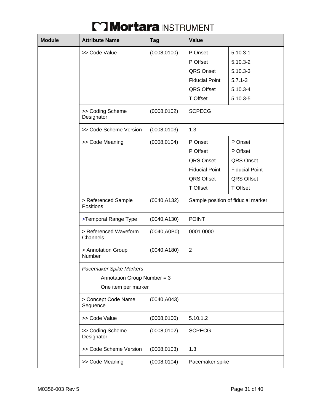| <b>Module</b> | <b>Attribute Name</b>                                                         | <b>Tag</b>   | Value                                                                                      |                                                                                             |
|---------------|-------------------------------------------------------------------------------|--------------|--------------------------------------------------------------------------------------------|---------------------------------------------------------------------------------------------|
|               | >> Code Value                                                                 | (0008, 0100) | P Onset<br>P Offset<br>QRS Onset<br><b>Fiducial Point</b><br>QRS Offset<br>T Offset        | $5.10.3 - 1$<br>$5.10.3 - 2$<br>$5.10.3 - 3$<br>$5.7.1 - 3$<br>$5.10.3 - 4$<br>$5.10.3 - 5$ |
|               | >> Coding Scheme<br>Designator                                                | (0008, 0102) | <b>SCPECG</b>                                                                              |                                                                                             |
|               | >> Code Scheme Version                                                        | (0008, 0103) | 1.3                                                                                        |                                                                                             |
|               | >> Code Meaning                                                               | (0008, 0104) | P Onset<br>P Offset<br>QRS Onset<br><b>Fiducial Point</b><br>QRS Offset<br><b>T Offset</b> | P Onset<br>P Offset<br>QRS Onset<br><b>Fiducial Point</b><br><b>QRS Offset</b><br>T Offset  |
|               | > Referenced Sample<br>Positions                                              | (0040, A132) |                                                                                            | Sample position of fiducial marker                                                          |
|               | >Temporal Range Type                                                          | (0040, A130) | <b>POINT</b>                                                                               |                                                                                             |
|               | > Referenced Waveform<br>Channels                                             | (0040, A0B0) | 0001 0000                                                                                  |                                                                                             |
|               | > Annotation Group<br>Number                                                  | (0040, A180) | $\overline{2}$                                                                             |                                                                                             |
|               | Pacemaker Spike Markers<br>Annotation Group Number = 3<br>One item per marker |              |                                                                                            |                                                                                             |
|               | > Concept Code Name<br>Sequence                                               | (0040, A043) |                                                                                            |                                                                                             |
|               | >> Code Value                                                                 | (0008, 0100) | 5.10.1.2                                                                                   |                                                                                             |
|               | >> Coding Scheme<br>Designator                                                | (0008, 0102) | <b>SCPECG</b>                                                                              |                                                                                             |
|               | >> Code Scheme Version                                                        | (0008, 0103) | 1.3                                                                                        |                                                                                             |
|               | >> Code Meaning                                                               | (0008, 0104) | Pacemaker spike                                                                            |                                                                                             |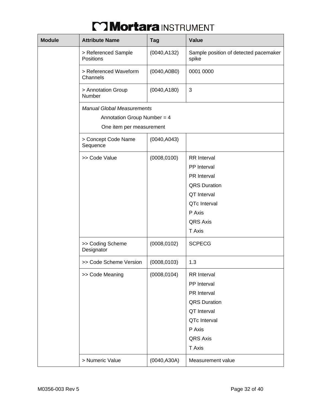| <b>Module</b> | <b>Attribute Name</b>                                                                          | <b>Tag</b>   | Value                                          |  |  |
|---------------|------------------------------------------------------------------------------------------------|--------------|------------------------------------------------|--|--|
|               | > Referenced Sample<br>Positions                                                               | (0040, A132) | Sample position of detected pacemaker<br>spike |  |  |
|               | > Referenced Waveform<br>Channels                                                              | (0040, A0B0) | 0001 0000                                      |  |  |
|               | > Annotation Group<br>Number                                                                   | (0040, A180) | 3                                              |  |  |
|               | <b>Manual Global Measurements</b><br>Annotation Group Number = $4$<br>One item per measurement |              |                                                |  |  |
|               | > Concept Code Name<br>Sequence                                                                | (0040, A043) |                                                |  |  |
|               | >> Code Value                                                                                  | (0008, 0100) | <b>RR</b> Interval<br>PP Interval              |  |  |
|               |                                                                                                |              | PR Interval                                    |  |  |
|               |                                                                                                |              | <b>QRS</b> Duration                            |  |  |
|               |                                                                                                |              | QT Interval                                    |  |  |
|               |                                                                                                |              | QTc Interval                                   |  |  |
|               |                                                                                                |              | P Axis                                         |  |  |
|               |                                                                                                |              | <b>QRS Axis</b>                                |  |  |
|               |                                                                                                |              | T Axis                                         |  |  |
|               | >> Coding Scheme<br>Designator                                                                 | (0008, 0102) | <b>SCPECG</b>                                  |  |  |
|               | >> Code Scheme Version                                                                         | (0008, 0103) | 1.3                                            |  |  |
|               | >> Code Meaning                                                                                | (0008, 0104) | <b>RR</b> Interval                             |  |  |
|               |                                                                                                |              | PP Interval                                    |  |  |
|               |                                                                                                |              | PR Interval                                    |  |  |
|               |                                                                                                |              | <b>QRS Duration</b>                            |  |  |
|               |                                                                                                |              | QT Interval                                    |  |  |
|               |                                                                                                |              | QTc Interval                                   |  |  |
|               |                                                                                                |              | P Axis                                         |  |  |
|               |                                                                                                |              | QRS Axis                                       |  |  |
|               |                                                                                                |              | T Axis                                         |  |  |
|               | > Numeric Value                                                                                | (0040, A30A) | Measurement value                              |  |  |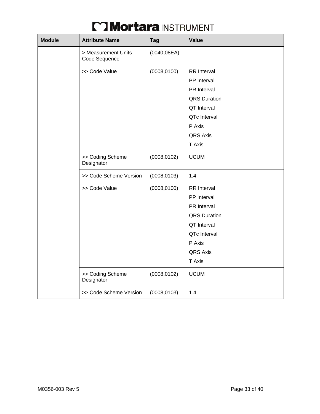| <b>Module</b> | <b>Attribute Name</b>                | <b>Tag</b>   | Value               |
|---------------|--------------------------------------|--------------|---------------------|
|               | > Measurement Units<br>Code Sequence | (0040, 08EA) |                     |
|               | >> Code Value                        | (0008, 0100) | <b>RR</b> Interval  |
|               |                                      |              | PP Interval         |
|               |                                      |              | PR Interval         |
|               |                                      |              | <b>QRS Duration</b> |
|               |                                      |              | QT Interval         |
|               |                                      |              | QTc Interval        |
|               |                                      |              | P Axis              |
|               |                                      |              | <b>QRS Axis</b>     |
|               |                                      |              | T Axis              |
|               | >> Coding Scheme<br>Designator       | (0008, 0102) | <b>UCUM</b>         |
|               | >> Code Scheme Version               | (0008, 0103) | 1.4                 |
|               | >> Code Value                        | (0008, 0100) | <b>RR</b> Interval  |
|               |                                      |              | PP Interval         |
|               |                                      |              | <b>PR</b> Interval  |
|               |                                      |              | <b>QRS Duration</b> |
|               |                                      |              | QT Interval         |
|               |                                      |              | QTc Interval        |
|               |                                      |              | P Axis              |
|               |                                      |              | QRS Axis            |
|               |                                      |              | T Axis              |
|               | >> Coding Scheme<br>Designator       | (0008, 0102) | <b>UCUM</b>         |
|               | >> Code Scheme Version               | (0008, 0103) | 1.4                 |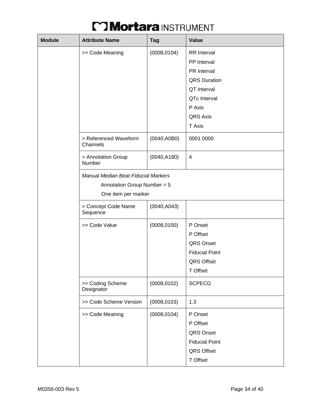| <b>Module</b> | <b>Attribute Name</b>                                                                            | <b>Tag</b>   | Value                                                                                                                               |  |  |
|---------------|--------------------------------------------------------------------------------------------------|--------------|-------------------------------------------------------------------------------------------------------------------------------------|--|--|
|               | >> Code Meaning                                                                                  | (0008, 0104) | <b>RR</b> Interval<br>PP Interval<br><b>PR</b> Interval<br><b>QRS</b> Duration<br>QT Interval<br>QTc Interval<br>P Axis<br>QRS Axis |  |  |
|               | > Referenced Waveform<br>Channels                                                                | (0040, A0B0) | T Axis<br>0001 0000                                                                                                                 |  |  |
|               | > Annotation Group<br>Number                                                                     | (0040, A180) | $\overline{\mathbf{4}}$                                                                                                             |  |  |
|               | <b>Manual Median Beat Fiducial Markers</b><br>Annotation Group Number = 5<br>One item per marker |              |                                                                                                                                     |  |  |
|               | > Concept Code Name<br>Sequence                                                                  | (0040, A043) |                                                                                                                                     |  |  |
|               | >> Code Value                                                                                    | (0008, 0100) | P Onset<br>P Offset<br>QRS Onset<br><b>Fiducial Point</b><br><b>QRS Offset</b><br>T Offset                                          |  |  |
|               | >> Coding Scheme<br>Designator                                                                   | (0008, 0102) | <b>SCPECG</b>                                                                                                                       |  |  |
|               | >> Code Scheme Version                                                                           | (0008, 0103) | 1.3                                                                                                                                 |  |  |
|               | >> Code Meaning                                                                                  | (0008, 0104) | P Onset<br>P Offset<br>QRS Onset<br><b>Fiducial Point</b><br>QRS Offset<br>T Offset                                                 |  |  |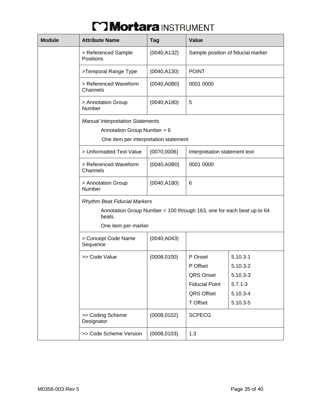| <b>Module</b>                                                                                                     | <b>Attribute Name</b>                                                          | <b>Tag</b>   | Value                         |                                    |  |
|-------------------------------------------------------------------------------------------------------------------|--------------------------------------------------------------------------------|--------------|-------------------------------|------------------------------------|--|
|                                                                                                                   | > Referenced Sample<br><b>Positions</b>                                        | (0040, A132) |                               | Sample position of fiducial marker |  |
|                                                                                                                   | >Temporal Range Type                                                           | (0040, A130) | <b>POINT</b>                  |                                    |  |
|                                                                                                                   | > Referenced Waveform<br>Channels                                              | (0040, A0B0) | 0001 0000                     |                                    |  |
|                                                                                                                   | > Annotation Group<br>Number                                                   | (0040, A180) | 5                             |                                    |  |
| <b>Manual Interpretation Statements</b><br>Annotation Group Number = $6$<br>One item per interpretation statement |                                                                                |              |                               |                                    |  |
|                                                                                                                   | > Unformatted Text Value                                                       | (0070, 0006) | Interpretation statement text |                                    |  |
|                                                                                                                   | > Referenced Waveform<br>Channels                                              | (0040, A0B0) | 0001 0000<br>6                |                                    |  |
|                                                                                                                   | > Annotation Group<br>Number                                                   | (0040, A180) |                               |                                    |  |
|                                                                                                                   | <b>Rhythm Beat Fiducial Markers</b>                                            |              |                               |                                    |  |
|                                                                                                                   | Annotation Group Number = 100 through 163, one for each beat up to 64<br>beats |              |                               |                                    |  |
|                                                                                                                   | One item per marker                                                            |              |                               |                                    |  |
|                                                                                                                   | > Concept Code Name<br>Sequence                                                | (0040, A043) |                               |                                    |  |
|                                                                                                                   | >> Code Value                                                                  | (0008, 0100) | P Onset                       | $5.10.3 - 1$                       |  |
|                                                                                                                   |                                                                                |              | P Offset                      | $5.10.3 - 2$                       |  |
|                                                                                                                   |                                                                                |              | QRS Onset                     | $5.10.3 - 3$                       |  |
|                                                                                                                   |                                                                                |              | <b>Fiducial Point</b>         | $5.7.1 - 3$                        |  |
|                                                                                                                   |                                                                                |              | QRS Offset                    | $5.10.3 - 4$                       |  |
|                                                                                                                   |                                                                                |              | <b>T</b> Offset               | 5.10.3-5                           |  |
|                                                                                                                   | >> Coding Scheme<br>Designator                                                 | (0008, 0102) | <b>SCPECG</b>                 |                                    |  |
|                                                                                                                   | >> Code Scheme Version                                                         | (0008, 0103) | 1.3                           |                                    |  |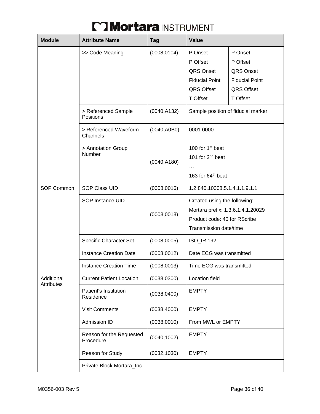| <b>Module</b>     | <b>Attribute Name</b>                 | Tag          | Value                                                                                                                       |                                                                                                   |  |
|-------------------|---------------------------------------|--------------|-----------------------------------------------------------------------------------------------------------------------------|---------------------------------------------------------------------------------------------------|--|
|                   | >> Code Meaning                       | (0008, 0104) | P Onset<br>P Offset<br>QRS Onset<br><b>Fiducial Point</b><br><b>QRS Offset</b><br><b>T</b> Offset                           | P Onset<br>P Offset<br><b>QRS Onset</b><br><b>Fiducial Point</b><br><b>QRS Offset</b><br>T Offset |  |
|                   | > Referenced Sample<br>Positions      | (0040, A132) | Sample position of fiducial marker                                                                                          |                                                                                                   |  |
|                   | > Referenced Waveform<br>Channels     | (0040, A0B0) | 0001 0000                                                                                                                   |                                                                                                   |  |
|                   | > Annotation Group<br>Number          | (0040, A180) | 100 for 1 <sup>st</sup> beat<br>101 for 2 <sup>nd</sup> beat<br>$\cdots$<br>163 for 64th beat                               |                                                                                                   |  |
| SOP Common        | <b>SOP Class UID</b>                  | (0008, 0016) | 1.2.840.10008.5.1.4.1.1.9.1.1                                                                                               |                                                                                                   |  |
|                   | SOP Instance UID                      | (0008, 0018) | Created using the following:<br>Mortara prefix: 1.3.6.1.4.1.20029<br>Product code: 40 for RScribe<br>Transmission date/time |                                                                                                   |  |
|                   | <b>Specific Character Set</b>         | (0008,0005)  | <b>ISO_IR 192</b>                                                                                                           |                                                                                                   |  |
|                   | <b>Instance Creation Date</b>         | (0008, 0012) | Date ECG was transmitted                                                                                                    |                                                                                                   |  |
|                   | <b>Instance Creation Time</b>         | (0008, 0013) | Time ECG was transmitted                                                                                                    |                                                                                                   |  |
| Additional        | <b>Current Patient Location</b>       | (0038, 0300) | Location field                                                                                                              |                                                                                                   |  |
| <b>Attributes</b> | Patient's Institution<br>Residence    | (0038, 0400) | <b>EMPTY</b>                                                                                                                |                                                                                                   |  |
|                   | <b>Visit Comments</b>                 | (0038, 4000) | <b>EMPTY</b>                                                                                                                |                                                                                                   |  |
|                   | <b>Admission ID</b>                   | (0038,0010)  | From MWL or EMPTY                                                                                                           |                                                                                                   |  |
|                   | Reason for the Requested<br>Procedure | (0040, 1002) | <b>EMPTY</b>                                                                                                                |                                                                                                   |  |
|                   | Reason for Study                      | (0032, 1030) | <b>EMPTY</b>                                                                                                                |                                                                                                   |  |
|                   | Private Block Mortara_Inc             |              |                                                                                                                             |                                                                                                   |  |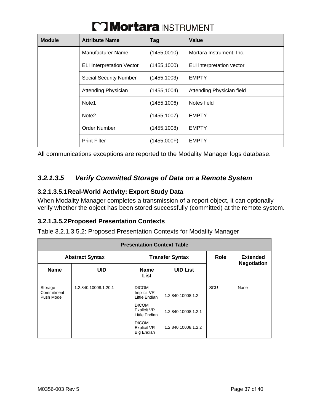| <b>Module</b> | <b>Attribute Name</b>            | Tag          | Value                     |
|---------------|----------------------------------|--------------|---------------------------|
|               | <b>Manufacturer Name</b>         | (1455,0010)  | Mortara Instrument, Inc.  |
|               | <b>ELI Interpretation Vector</b> | (1455, 1000) | ELI interpretation vector |
|               | <b>Social Security Number</b>    | (1455, 1003) | <b>EMPTY</b>              |
|               | <b>Attending Physician</b>       | (1455, 1004) | Attending Physician field |
|               | Note <sub>1</sub>                | (1455, 1006) | Notes field               |
|               | Note <sub>2</sub>                | (1455, 1007) | <b>EMPTY</b>              |
|               | Order Number                     | (1455, 1008) | <b>EMPTY</b>              |
|               | <b>Print Filter</b>              | (1455,000F)  | <b>EMPTY</b>              |

All communications exceptions are reported to the Modality Manager logs database.

### *3.2.1.3.5 Verify Committed Storage of Data on a Remote System*

#### **3.2.1.3.5.1 Real-World Activity: Export Study Data**

When Modality Manager completes a transmission of a report object, it can optionally verify whether the object has been stored successfully (committed) at the remote system.

#### **3.2.1.3.5.2 Proposed Presentation Contexts**

Table 3.2.1.3.5.2: Proposed Presentation Contexts for Modality Manager

| <b>Presentation Context Table</b>   |                      |                                                         |                     |      |                    |
|-------------------------------------|----------------------|---------------------------------------------------------|---------------------|------|--------------------|
| <b>Abstract Syntax</b>              |                      | <b>Transfer Syntax</b>                                  |                     | Role | <b>Extended</b>    |
| <b>Name</b>                         | <b>UID</b>           | <b>Name</b><br>List                                     | <b>UID List</b>     |      | <b>Negotiation</b> |
| Storage<br>Commitment<br>Push Model | 1.2.840.10008.1.20.1 | <b>DICOM</b><br>Implicit VR<br>Little Endian            | 1.2.840.10008.1.2   | SCU  | None               |
|                                     |                      | <b>DICOM</b><br><b>Explicit VR</b><br>Little Endian     | 1.2.840.10008.1.2.1 |      |                    |
|                                     |                      | <b>DICOM</b><br><b>Explicit VR</b><br><b>Big Endian</b> | 1.2.840.10008.1.2.2 |      |                    |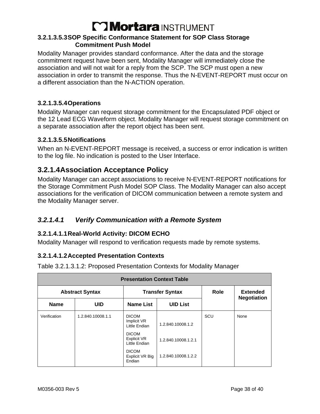#### **3.2.1.3.5.3 SOP Specific Conformance Statement for SOP Class Storage Commitment Push Model**

Modality Manager provides standard conformance. After the data and the storage commitment request have been sent, Modality Manager will immediately close the association and will not wait for a reply from the SCP. The SCP must open a new association in order to transmit the response. Thus the N-EVENT-REPORT must occur on a different association than the N-ACTION operation.

#### **3.2.1.3.5.4 Operations**

Modality Manager can request storage commitment for the Encapsulated PDF object or the 12 Lead ECG Waveform object. Modality Manager will request storage commitment on a separate association after the report object has been sent.

#### **3.2.1.3.5.5 Notifications**

When an N-EVENT-REPORT message is received, a success or error indication is written to the log file. No indication is posted to the User Interface.

### **3.2.1.4 Association Acceptance Policy**

Modality Manager can accept associations to receive N-EVENT-REPORT notifications for the Storage Commitment Push Model SOP Class. The Modality Manager can also accept associations for the verification of DICOM communication between a remote system and the Modality Manager server.

#### *3.2.1.4.1 Verify Communication with a Remote System*

#### **3.2.1.4.1.1 Real-World Activity: DICOM ECHO**

Modality Manager will respond to verification requests made by remote systems.

#### **3.2.1.4.1.2 Accepted Presentation Contexts**

Table 3.2.1.3.1.2: Proposed Presentation Contexts for Modality Manager

| <b>Presentation Context Table</b> |                                                  |                                              |                     |                                       |      |
|-----------------------------------|--------------------------------------------------|----------------------------------------------|---------------------|---------------------------------------|------|
|                                   | <b>Transfer Syntax</b><br><b>Abstract Syntax</b> |                                              | Role                | <b>Extended</b><br><b>Negotiation</b> |      |
| <b>Name</b>                       | <b>UID</b>                                       | <b>Name List</b>                             | <b>UID List</b>     |                                       |      |
| Verification                      | 1.2.840.10008.1.1                                | <b>DICOM</b><br>Implicit VR<br>Little Endian | 1.2.840.10008.1.2   | SCU                                   | None |
|                                   |                                                  | <b>DICOM</b><br>Explicit VR<br>Little Endian | 1.2.840.10008.1.2.1 |                                       |      |
|                                   |                                                  | <b>DICOM</b><br>Explicit VR Big<br>Endian    | 1.2.840.10008.1.2.2 |                                       |      |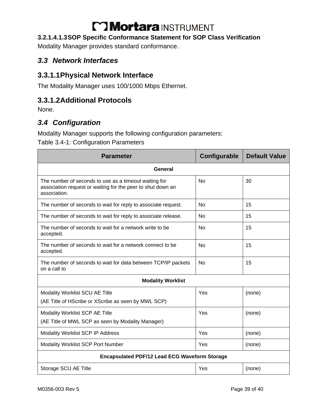#### **3.2.1.4.1.3 SOP Specific Conformance Statement for SOP Class Verification**

Modality Manager provides standard conformance.

### *3.3 Network Interfaces*

### **3.3.1.1 Physical Network Interface**

The Modality Manager uses 100/1000 Mbps Ethernet.

### **3.3.1.2 Additional Protocols**

None.

### *3.4 Configuration*

Modality Manager supports the following configuration parameters:

Table 3.4-1: Configuration Parameters

| <b>Parameter</b>                                                                                                                     | Configurable | <b>Default Value</b> |  |  |  |
|--------------------------------------------------------------------------------------------------------------------------------------|--------------|----------------------|--|--|--|
| General                                                                                                                              |              |                      |  |  |  |
| The number of seconds to use as a timeout waiting for<br>association request or waiting for the peer to shut down an<br>association. | <b>No</b>    | 30                   |  |  |  |
| The number of seconds to wait for reply to associate request.                                                                        | No           | 15                   |  |  |  |
| The number of seconds to wait for reply to associate release.                                                                        | No           | 15                   |  |  |  |
| The number of seconds to wait for a network write to be<br>accepted.                                                                 | <b>No</b>    | 15                   |  |  |  |
| The number of seconds to wait for a network connect to be<br>accepted.                                                               | <b>No</b>    | 15                   |  |  |  |
| The number of seconds to wait for data between TCP/IP packets<br>on a call to                                                        | <b>No</b>    | 15                   |  |  |  |
| <b>Modality Worklist</b>                                                                                                             |              |                      |  |  |  |
| Modality Worklist SCU AE Title<br>(AE Title of HScribe or XScribe as seen by MWL SCP)                                                | Yes          | (none)               |  |  |  |
| Modality Worklist SCP AE Title<br>(AE Title of MWL SCP as seen by Modality Manager)                                                  | Yes          | (none)               |  |  |  |
| Modality Worklist SCP IP Address                                                                                                     | Yes          | (none)               |  |  |  |
| <b>Modality Worklist SCP Port Number</b>                                                                                             | Yes          | (none)               |  |  |  |
| <b>Encapsulated PDF/12 Lead ECG Waveform Storage</b>                                                                                 |              |                      |  |  |  |
| Storage SCU AE Title                                                                                                                 | Yes          | (none)               |  |  |  |